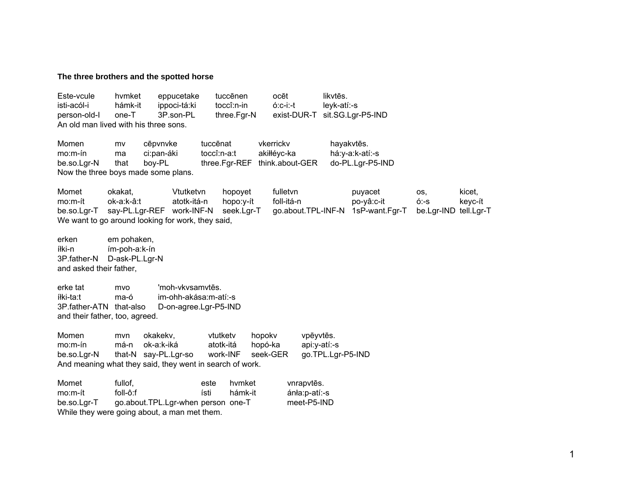## The three brothers and the spotted horse

Este-vcule likvtēs. hymket eppucetake tuccēnen ocēt isti-acól-i hámk-it ippoci-tá:ki toccî:n-in  $6:c-i-1$ leyk-atí:-s exist-DUR-T sit.SG.Lgr-P5-IND 3P.son-PL person-old-l  $one-T$ three.Far-N An old man lived with his three sons. Momen vkerrickv mv cēpvnvke tuccenat hayakvtēs.  $mo.m-fn$ toccî:n-a:t akiłłévc-ka há:y-a:k-atí:-s ma ci:pan-áki do-PL.Lgr-P5-IND boy-PL three.Fgr-REF think.about-GER be.so.Lgr-N that Now the three boys made some plans. Momet okakat. Vtutketvn hopoyet fulletvn kicet. puyacet OS. mo:m-ít ok-a:k-â:t atotk-itá-n foll-itá-n hopo:y-ít po-yâ:c-it  $6 - S$ keyc-ít be.so.Lgr-T say-PL.Lgr-REF work-INF-N seek.Lgr-T go.about.TPL-INF-N 1sP-want.Fgr-T be.Lgr-IND tell.Lgr-T We want to go around looking for work, they said, erken em pohaken, íłki-n ím-poh-a:k-ín D-ask-PL.Lgr-N 3P.father-N and asked their father. erke tat 'moh-vkysamytēs. mvo íłki-ta:t ma-ó im-ohh-akása:m-atí:-s 3P.father-ATN that-also D-on-agree.Lgr-P5-IND and their father, too, agreed. Momen vtutketv vpēyvtēs. mvn okakekv. hopoky  $mo.m-fn$ má-n ok-a:k-iká atotk-itá hopó-ka api:y-atí:-s that-N say-PL.Lgr-so work-INF seek-GER go.TPL.Lgr-P5-IND be.so.Lgr-N And meaning what they said, they went in search of work. Momet fullof. este hvmket vnrapvtēs. foll-ô:f ísti hámk-it  $mo.m$ -ít ánła:p-atí:-s go.about.TPL.Lgr-when person one-T be.so.Lar-T meet-P5-IND While they were going about, a man met them.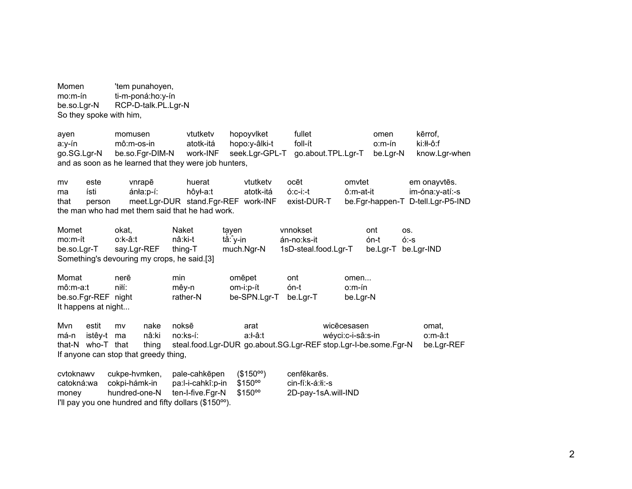Momen 'tem punahoyen,  $mo.m-fn$ ti-m-poná:ho:y-ín be.so.Lgr-N RCP-D-talk.PL.Lgr-N So they spoke with him,

vtutketv hopovvlket fullet omen kērrof. ayen momusen atotk-itá foll-ít ki:łł-ô:f a:y-ín mô:m-os-in hopo:y-âlki-t  $o.m$ -ín be.so.Fgr-DIM-N work-INF seek.Lgr-GPL-T go.about.TPL.Lgr-T be.Lgr-N know.Lgr-when go.SG.Lgr-N and as soon as he learned that they were job hunters, este vnrapē huerat vtutketv ocēt omvtet em onayvtēs. mv ísti ánła:p-í: hôył-a:t atotk-itá  $6:c-i:-t$ ô:m-at-it im-óna:y-atí:-s ma meet.Lgr-DUR stand.Fgr-REF work-INF be.Fgr-happen-T D-tell.Lgr-P5-IND that person exist-DUR-T the man who had met them said that he had work. Momet okat. Naket tayen vnnokset ont OS. án-no:ks-it  $6 - S$ mo:m-ít o:k-â:t nâ:ki-t tǎ: v-in ón-t say.Lgr-REF much.Ngr-N 1sD-steal.food.Lgr-T be.Lgr-T be.Lgr-IND be.so.Lgr-T thing-T Something's devouring my crops, he said.[3] Momat nerē min omēpet ont omen... niłí:  $m\hat{o}$ :m-a:t mêy-n om-i:p-ít ón-t o:m-ín be.so.Fgr-REF night rather-N be-SPN.Lgr-T be.Lar-T be.Lgr-N It happens at night... Mvn estit  $mv$ nake noksē arat wicēcesasen omat, má-n istêy-t ma nâ:ki no:ks-í: a:l-â:t wévci:c-i-sâ:s-in o:m-â:t steal.food.Lgr-DUR\_go.about.SG.Lgr-REF stop.Lgr-I-be.some.Fgr-N that-N who-T that thing be.Lgr-REF If anyone can stop that greedy thing, cvtoknawy cukpe-hvmken, pale-cahkēpen  $($150^{\circ}$ <sup>o</sup> cenfēkarēs. cin-fí:k-á:łi:-s catokná:wa cokpi-hámk-in pa:l-i-cahkî:p-in  $$150^{\circ}$ hundred-one-N ten-I-five.Fgr-N  $$150^{\circ}$ 2D-pay-1sA.will-IND money I'll pay you one hundred and fifty dollars (\$150<sup>oo</sup>).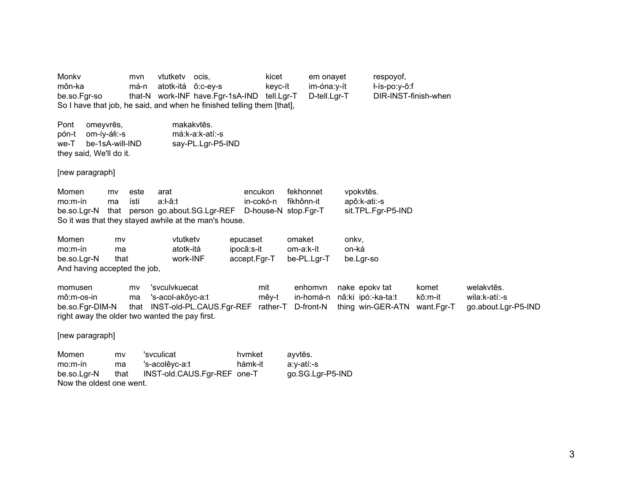Monky mvn vtutketv ocis, block is kicet em onayet respoyof, môn-ka má-n atotk-itá ô:c-ey-s keyc-ít im-óna:y-ít ł-ís-po:y-ô:f be.so.Fgr-so that-N work-INF have.Fgr-1sA-IND tell.Lgr-T D-tell.Lgr-T DIR-INST-finish-when So I have that job, he said, and when he finished telling them [that], Pont omeyvres, ēs, makakvt ēs. pón-t om-íy-áłi:-s má:k-a:k-atí:-s we-T be-1sA-will-IND say-PL.Lgr-P5-IND they said, We'll do it. [new paragraph] Momen my este arat encukon fekhonnet vpokvtēs. mo:m-ín ma ísti a:ł-â:t in-cokó-n fikhônn-it apô:k-ati:-s be.so.Lgr-N that person go.about.SG.Lgr-REF D-house-N stop.Fgr-T sit.TPL.Fgr-P5-IND So it was that they stayed awhile at the man's house. Momen mv vtutketv epucaset omaket onkv, mo:m-ín ma atotk-itá ipocâ:s-it om-a:k-ít on-ká be.so.Lgr-N that work-INF accept.Fgr-T be-PL.Lgr-T be.Lgr-so And having accepted the job, momusen mv 'svculvkuecat mit enhomvn nake epokv tat komet welakytēs. mô:m-os-in ma 's-acol-akôyc-a:t mêy-t in-homá-n nâ:ki ipó:-ka-ta:t kô:m-it wila:k-atí:-s be.so.Fgr-DIM-N that INST-old-PL.CAUS.Fgr-REF rather-T D-front-N thing win-GER-ATN want.Fgr-T go.about.Lgr-P5-IND right away the older two wanted the pay first. [new paragraph]

Momen mv 'svculicat hymket ēs. mo:m-ín ma 's-acolêyc-a:t hámk-it a:y-atí:-s be.so.Lgr-N that INST-old.CAUS.Fgr-REF one-T go.SG.Lgr-P5-IND Now the oldest one went.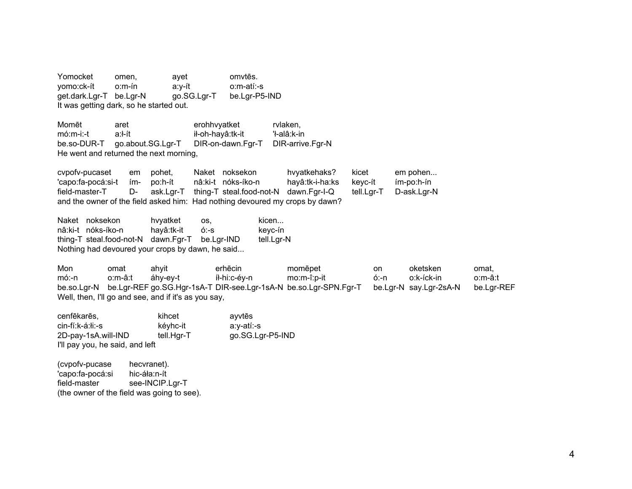Yomocket omen, ayet omvtēs. yomo:ck-ít o:m-ín a:y-ít o:m-atí:-s get.dark.Lgr-T be.Lgr-N go.SG.Lgr-T be.Lgr-P5-IND It was getting dark, so he started out. Momēt aret erohhvyatket rvlaken, mó:m-i:-t a:ł-ít ił-oh-hayâ:tk-it 'ł-alâ:k-in be.so-DUR-T go.about.SG.Lgr-T DIR-on-dawn.Fgr-T DIR-arrive.Fgr-N He went and returned the next morning, cvpofv-pucaset em pohet, Naket noksekon hvyatkehaks? kicet em pohen... 'capo:fa-pocá:si-t ím- po:h-ít nâ:ki-t nóks-íko-n hayâ:tk-i-ha:ks keyc-ít ím-po:h-ín field-master-T D- ask.Lgr-T thing-T steal.food-not-N dawn.Fgr-I-Q tell.Lgr-T D-ask.Lgr-N and the owner of the field asked him: Had nothing devoured my crops by dawn? Naket noksekon by hyatket os, kicen... nâ:ki-t nóks-íko-n hayâ:tk-it ó:-s keyc-ín thing-T steal.food-not-N dawn.Fgr-T be.Lgr-IND tell.Lgr-N Nothing had devoured your crops by dawn, he said... Mon omat ahyit erhēcin momēpet on oketsken omat, mó:-n o:m-â:t áhy-ey-t íł-hi:c-éy-n mo:m-î:p-it ó:-n o:k-íck-in o:m-â:t be.so.Lgr-N be.Lgr-REF go.SG.Hgr-1sA-T DIR-see.Lgr-1sA-N be.so.Lgr-SPN.Fgr-T be.Lgr-N say.Lgr-2sA-N be.Lgr-REF Well, then, I'll go and see, and if it's as you say,

| cenfēkarēs,<br>cin-fí:k-á:łi:-s | kihcet<br>kéyhc-it | ayvtēs<br>a:y-atí:-s |
|---------------------------------|--------------------|----------------------|
| 2D-pay-1sA.will-IND             | tell.Hgr-T         | go.SG.Lgr-P5-IND     |
| I'll pay you, he said, and left |                    |                      |
| (cvpofv-pucase)                 | hecvranet).        |                      |

'capo:fa-pocá:si hic-áła:n-ít field-master see-INCIP.Lgr-T (the owner of the field was going to see).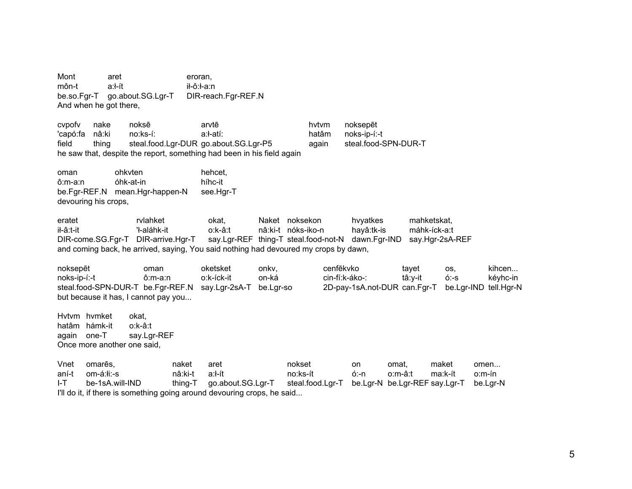Mont aret eroran. môn-t  $a:$   $h$ : ft ił-ô:ł-a:n be.so.Fgr-T go.about.SG.Lgr-T DIR-reach.Fgr-REF.N And when he got there,

cypofy noksē nake arvtē hytym noksepēt 'capó:fa nâ:ki no:ks-í: a:ł-atí: hatâm noks-ip-í:-t steal.food.Lgr-DUR\_go.about.SG.Lgr-P5 steal.food-SPN-DUR-T field thing again he saw that, despite the report, something had been in his field again

ohkvten oman hehcet.  $ô: m-a:n$ óhk-at-in híhc-it be.Fgr-REF.N mean.Hgr-happen-N see.Har-T devouring his crops,

eratet rvlahket okat. Naket noksekon hvyatkes mahketskat. il-â:t-it 'ł-aláhk-it o:k-â:t nâ:ki-t nóks-iko-n hayâ:tk-is máhk-íck-a:t say.Lgr-REF thing-T steal.food-not-N dawn.Fgr-IND DIR-come.SG.Fgr-T DIR-arrive.Hgr-T say.Hgr-2sA-REF and coming back, he arrived, saying, You said nothing had devoured my crops by dawn,

noksepēt oketsket cenfēkvko kihcen... oman onky. tayet OS, noks-ip-í:-t ô:m-a:n o:k-íck-it on-ká cin-fí:k-áko-: tâ:v-it  $6 - S$ kévhc-in steal.food-SPN-DUR-T be.Fgr-REF.N 2D-pay-1sA.not-DUR can.Fgr-T say.Lgr-2sA-T be.Lgr-so be.Lgr-IND tell.Hgr-N but because it has, I cannot pay you...

Hytym hymket okat. hatâm hámk-it o:k-â:t again one-T say.Lgr-REF Once more another one said,

Vnet omarēs. naket aret nokset on omat. maket omen... aní-t om-á:łi:-s nâ:ki-t a:ł-ít no:ks-ít ó:-n o:m-â:t ma:k-ít o:m-ín be-1sA.will-IND  $I-T$ thing-T go.about.SG.Lgr-T steal.food.Lgr-T be.Lgr-N be.Lgr-REF say.Lgr-T be.Lgr-N I'll do it, if there is something going around devouring crops, he said...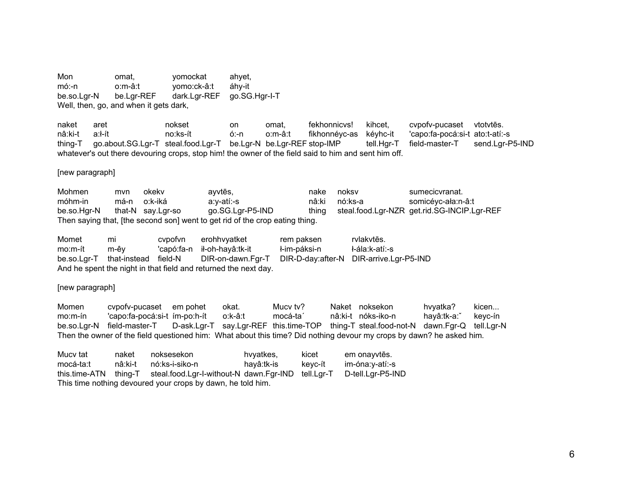Mon omat. yomockat ahyet,  $m$ ó:-n o:m-â:t yomo:ck-â:t áhy-it dark.Lgr-REF go.SG.Hgr-I-T be.so.Lar-N be.Lar-REF Well, then, go, and when it gets dark,

fekhonnicvs! cvpofv-pucaset naket aret nokset on omat. kihcet. vtotvtēs. nâ:ki-t  $a$ : $h$ no:ks-ít  $6:-n$ o:m-â:t fikhonnéyc-as kéyhc-it 'capo:fa-pocá:si-t ato:t-atí:-s go.about.SG.Lgr-T steal.food.Lgr-T be.Lgr-N be.Lgr-REF stop-IMP send.Lgr-P5-IND thing-T tell.Hgr-T field-master-T whatever's out there devouring crops, stop him! the owner of the field said to him and sent him off.

## [new paragraph]

Mohmen okekv noksv sumecicvranat. ayvtēs, nake mvn móhm-in má-n o:k-iká nó:ks-a somicéyc-ała:n-â:t a:y-atí:-s nâ:ki go.SG.Lgr-P5-IND steal.food.Lgr-NZR\_get.rid.SG-INCIP.Lgr-REF be.so.Har-N that-N say.Lgr-so thing Then saying that, [the second son] went to get rid of the crop eating thing.

Momet mi cvpofvn erohhvyatket rem paksen rvlakytēs. ił-oh-hayâ:tk-it ł-im-páksi-n ł-ála:k-atí:-s  $mo.m-ft$ m-êy 'capó:fa-n be.so.Lar-T that-instead field-N DIR-on-dawn.Fgr-T DIR-D-day:after-N DIR-arrive.Lgr-P5-IND And he spent the night in that field and returned the next day.

## [new paragraph]

Naket noksekon Momen cvpofv-pucaset em pohet okat. Mucy tv? hvyatka? kicen...  $mo.m-fn$ 'capo:fa-pocá:si-t ím-po:h-ít o:k-â:t mocá-ta' nâ:ki-t nóks-iko-n hayâ:tk-a: keyc-ín D-ask.Lgr-T say.Lgr-REF this.time-TOP thing-T steal.food-not-N dawn.Fgr-Q be.so.Lgr-N field-master-T tell.Lgr-N Then the owner of the field questioned him: What about this time? Did nothing devour my crops by dawn? he asked him.

| Mucy tat      | naket   | noksesekon                                                  | hvyatkes,  | kicet      | em onavvtēs.      |
|---------------|---------|-------------------------------------------------------------|------------|------------|-------------------|
| mocá-ta:t     | nâ:ki-t | nó:ks-i-siko-n                                              | havâ:tk-is | kevc-ít    | im-óna:v-atí:-s   |
| this.time-ATN |         | thing-T steal.food.Lgr-I-without-N dawn.Fgr-IND             |            | tell.Lgr-T | D-tell.Lar-P5-IND |
|               |         | This time nothing devoured your crops by dawn, he told him. |            |            |                   |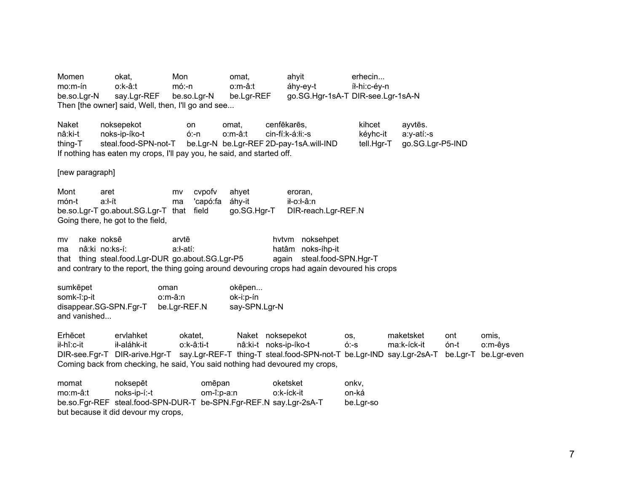Momen okat, Mon omat, ahyit erhecin... mo:m-ín o:k-â:t mó:-n o:m-â:t áhy-ey-t íł-hi:c-éy-n be.so.Lgr-N say.Lgr-REF be.so.Lgr-N be.Lgr-REF go.SG.Hgr-1sA-T DIR-see.Lgr-1sA-N Then [the owner] said, Well, then, I'll go and see... Naket noksepekot on omat, cenfēkarēs. kihcet ēs. nâ:ki-t noks-ip-íko-t ó:-n o:m-â:t cin-fí:k-á:łi:-s kéyhc-it a:y-atí:-s thing-T steal.food-SPN-not-T be.Lgr-N be.Lgr-REF 2D-pay-1sA.will-IND tell.Hgr-T go.SG.Lgr-P5-IND If nothing has eaten my crops, I'll pay you, he said, and started off. [new paragraph] Mont aret mv cvpofv ahyet eroran, món-t a:ł-ít ma 'capó:fa áhy-it ił-o:ł-â:n be.so.Lgr-T go.about.SG.Lgr-T that field go.SG.Hgr-T DIR-reach.Lgr-REF.N Going there, he got to the field, mv nake noksarvtē hytym noksehpet ma nâ:ki no:ks-í: a:ł-atí: hatâm noks-íhp-it that thing steal.food.Lgr-DUR go.about.SG.Lgr-P5 again steal.food-SPN.Hgr-T and contrary to the report, the thing going around devouring crops had again devoured his crops sumk oman okēpen... somk-î:p-it o:m-â:n ok-i:p-ín disappear.SG-SPN.Fgr-T be.Lgr-REF.N say-SPN.Lgr-N and vanished... **Erhecet** ēcet ervlahket okatet, Naket noksepekot os, maketsket ont omis, ił-hî:c-it ił-aláhk-it o:k-â:ti-t nâ:ki-t noks-ip-íko-t ó:-s ma:k-íck-it ón-t o:m-êys DIR-see.Fgr-T DIR-arive.Hgr-T say.Lgr-REF-T thing-T steal.food-SPN-not-T be.Lgr-IND say.Lgr-2sA-T be.Lgr-T be.Lgr-even Coming back from checking, he said, You said nothing had devoured my crops, momat noksepēt omēpan oketsket onkv. mo:m-â:t noks-ip-í:-t om-î:p-a:n o:k-íck-it on-ká be.so.Fgr-REF steal.food-SPN-DUR-T be-SPN.Fgr-REF.N say.Lgr-2sA-T be.Lgr-so

but because it did devour my crops,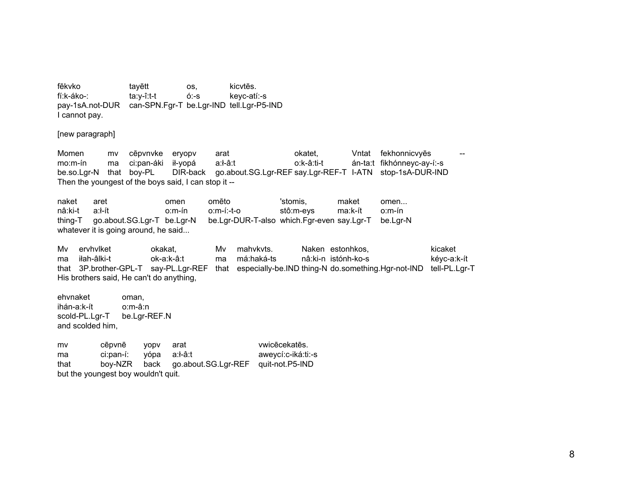fēkvko tayētt kicytēs. OS, fí:k-áko-: ta:y-î:t-t  $6 - S$ kevc-atí:-s pay-1sA.not-DUR can-SPN.Fgr-T be.Lgr-IND tell.Lgr-P5-IND I cannot pay.

[new paragraph]

Momen cēpvnvke fekhonnicvyēs eryopy arat okatet. Vntat mv án-ta:t fikhónneyc-ay-í:-s  $mo.m-fn$ ci:pan-áki ił-yopá  $a: A \cdot a: t$ o:k-â:ti-t ma DIR-back go.about.SG.Lgr-REF say.Lgr-REF-T I-ATN stop-1sA-DUR-IND be.so.Lgr-N that boy-PL Then the youngest of the boys said, I can stop it --

naket 'stomis. maket aret omen omēto omen... nâ:ki-t  $a$ : $h$  $o.m$ -ín  $o.m-(-t-o)$ stô:m-eys ma:k-ít  $o.m$ -ín thing-T go.about.SG.Lgr-T be.Lgr-N be.Lgr-DUR-T-also which.Fgr-even say.Lgr-T be.Lgr-N whatever it is going around, he said...

ervhylket mahykyts. Naken estonhkos. kicaket Mv. okakat. Mv. iłah-âlki-t má:haká-ts ma ok-a:k-â:t ma nâ:ki-n istónh-ko-s kéyc-a:k-ít that 3P.brother-GPL-T say-PL.Lgr-REF that especially-be.IND thing-N do.something.Hgr-not-IND tell-PL.Lgr-T His brothers said, He can't do anything,

ehvnaket oman. ihán-a:k-ít o:m-â:n scold-PL.Lgr-T be.Lgr-REF.N and scolded him,

vwicēcekatēs. mv cēpvnē yopv arat yópa  $a: A - a: t$ aweycí:c-iká:ti:-s ma ci:pan-í: go.about.SG.Lgr-REF quit-not.P5-IND that boy-NZR back but the youngest boy wouldn't quit.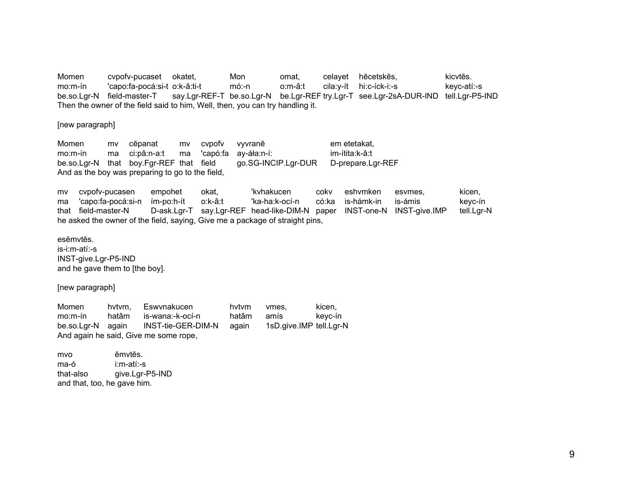Momen cvpofv-pucaset okatet, Mon omat, ēcetsk ēs, kicvt ēs. mo:m-ín 'capo:fa-pocá:si-t o:k-â:ti-t mó:-n o:m-â:t cila:y-ít hi:c-íck-i:-s keyc-atí:-s be.so.Lgr-N field-master-T say.Lgr-REF-T be.so.Lgr-N be.Lgr-REF try.Lgr-T see.Lgr-2sA-DUR-IND tell.Lgr-P5-IND Then the owner of the field said to him, Well, then, you can try handling it.

[new paragraph]

Momen my cēpanat mv cvpofv vyvranē em etetakat, mo:m-ín ma ci:pâ:n-a:t ma 'capó:fa ay-áła:n-í: im-ítita:k-â:t be.so.Lgr-N that boy.Fgr-REF that field go.SG-INCIP.Lgr-DUR D-prepare.Lgr-REF And as the boy was preparing to go to the field,

mv cvpofv-pucasen empohet okat, 'kvhakucen cokv eshvmken esvmes, kicen, ma 'capo:fa-pocá:si-n ím-po:h-ít o:k-â:t 'ka-ha:k-ocí-n có:ka is-hámk-in is-ámis keyc-ín that field-master-N D-ask.Lgr-T say.Lgr-REF head-like-DIM-N paper INST-one-N INST-give.IMP tell.Lgr-N he asked the owner of the field, saying, Give me a package of straight pins,

esēmvtēs. is-i:m-atí:-s INST-give.Lgr-P5-IND and he gave them to [the boy].

[new paragraph]

Momen hvtvm, Eswvnakucen hvtvm vmes, kicen, mo:m-ín hatâm is-wana:-k-ocí-n hatâm amís keyc-ín be.so.Lgr-N again INST-tie-GER-DIM-N again 1sD.give.IMP tell.Lgr-N And again he said, Give me some rope,

mvo ēmvtēs. ma-ó i:m-atí:-s that-also give.Lgr-P5-IND and that, too, he gave him.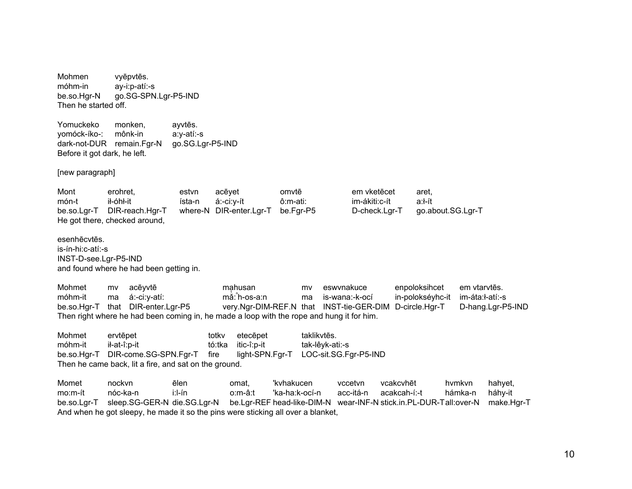Mohmen vyēpvtēs. móhm-in ay-i:p-atí:-s be.so.Har-N go.SG-SPN.Lgr-P5-IND Then he started off. Yomuckeko monken. ayvtēs. vomóck-íko-: mônk-in a:y-atí:-s dark-not-DUR remain.Fgr-N go.SG.Lgr-P5-IND Before it got dark, he left. [new paragraph] em vketēcet Mont erohret. estvn acēyet omvtē aret. ił-óhł-it im-ákiti:c-ít a:l-ít món-t ísta-n á:-ci:y-ít ô:m-ati: be.so.Lgr-T DIR-reach.Hgr-T where-N DIR-enter.Lgr-T be.Fgr-P5 go.about.SG.Lgr-T D-check.Lgr-T He got there, checked around, esenhēcytēs. is-ín-hi:c-atí:-s INST-D-see.Lgr-P5-IND and found where he had been getting in. Mohmet enpoloksihcet acēyvtē mahusan eswynakuce em vtarvtēs. mv mv móhm-it á:-ci:y-atí: mǎ: h-os-a:n is-wana:-k-ocí in-polokséyhc-it im-áta:l-atí:-s ma ma be.so.Hgr-T that DIR-enter.Lgr-P5 D-circle.Hgr-T very.Ngr-DIM-REF.N that INST-tie-GER-DIM D-hang.Lgr-P5-IND Then right where he had been coming in, he made a loop with the rope and hung it for him. Mohmet ervtēpet totky etecēpet taklikytēs. tó:tka móhm-it ił-at-î:p-it itic-î:p-it tak-lêyk-ati:-s be.so.Hgr-T DIR-come.SG-SPN.Fgr-T fire light-SPN.Fgr-T LOC-sit.SG.Fgr-P5-IND Then he came back, lit a fire, and sat on the ground. Momet nockvn ēlen omat. 'kyhakucen vccetvn vcakcyhēt hymkyn hahyet,  $i:$ -ín 'ka-ha:k-ocí-n acc-itá-n acakcah-í:-t  $mo.m-ft$ nóc-ka-n  $o.m-â:$ hámka-n háhy-it be.so.Lgr-T sleep.SG-GER-N die.SG.Lgr-N be.Lgr-REF head-like-DIM-N wear-INF-N stick.in.PL-DUR-Tall:over-N make.Hgr-T

And when he got sleepy, he made it so the pins were sticking all over a blanket,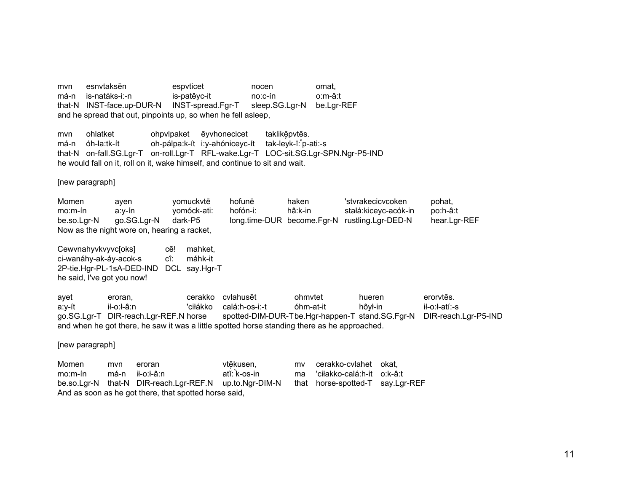esnytaksēn espyticet mvn nocen omat. má-n is-natáks-i:-n is-patêyc-it  $no: c-fn$  $o.m-â:1$ that-N INST-face.up-DUR-N INST-spread.Fgr-T sleep.SG.Lgr-N be.Lgr-REF and he spread that out, pinpoints up, so when he fell asleep,

ohlatket ohpylpaket ēyvhonecicet taklikēpvtēs. mvn oh-pálpa:k-ít i:y-ahóniceyc-ít tak-leyk-ĭ: p-ati:-s má-n óh-la:tk-ít that-N on-fall.SG.Lgr-T on-roll.Lgr-T RFL-wake.Lgr-T LOC-sit.SG.Lgr-SPN.Ngr-P5-IND he would fall on it, roll on it, wake himself, and continue to sit and wait.

[new paragraph]

Momen hofunē haken 'stvrakecicvcoken yomuckvtē pohat, ayen  $mo.m-fn$ hofón-i: hâ:k-in stałá:kiceyc-acók-in  $a:v$ -ín yomóck-ati: po:h-â:t be.so.Lgr-N go.SG.Lgr-N dark-P5 long.time-DUR become.Fgr-N rustling.Lgr-DED-N hear.Lgr-REF Now as the night wore on, hearing a racket,

Cewvnahyvkvyvc[oks] mahket. cē! ci-wanáhy-ak-áy-acok-s cî: máhk-it 2P-tie.Hgr-PL-1sA-DED-IND DCL say.Hgr-T he said, I've got you now!

cerakko cvlahusēt ohmvtet hueren erorvtēs. avet eroran. ił-o:ł-â:n 'ciłákko calá:h-os-i:-t óhm-at-it hôył-in il-o:l-atí:-s a:y-ít go.SG.Lgr-T DIR-reach.Lgr-REF.N horse spotted-DIM-DUR-Tbe.Hgr-happen-T stand.SG.Fgr-N DIR-reach.Lgr-P5-IND and when he got there, he saw it was a little spotted horse standing there as he approached.

[new paragraph]

cerakko-cvlahet okat. Momen mvn eroran vtēkusen, mv  $mo.m-fn$ má-n ił-o:ł-â:n atĭ: k-os-in 'ciłakko-calá:h-it o:k-â:t ma be.so.Lgr-N that-N DIR-reach.Lgr-REF.N up.to.Ngr-DIM-N that horse-spotted-T say.Lgr-REF And as soon as he got there, that spotted horse said,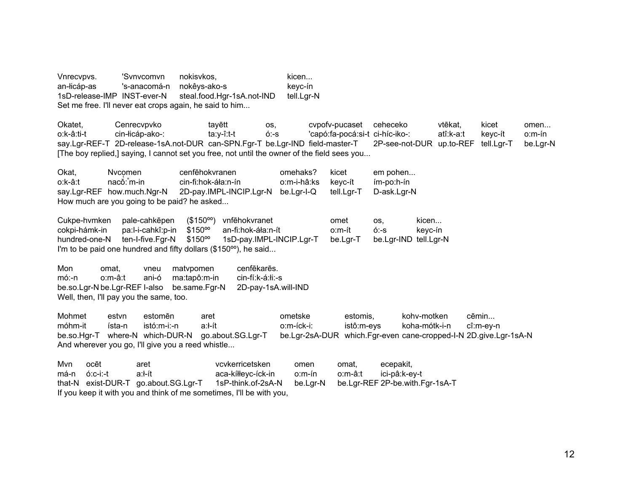Vnrecvovs. 'Svnvcomvn nokisvkos. '' kicen... an-łicáp-as 's-anacomá-n nokêys-ako-s keyc-ín 1sD-release-IMP INST-ever-N steal.food.Hgr-1sA.not-IND tell.Lgr-N Set me free. I'll never eat crops again, he said to him...

Okatet, Cenrecvpvko tayētt os, cvpofv-pucaset ceheceko vtēkat, kicet omen... o:k-â:ti-t cin-łicáp-ako-: ta:y-î:t-t ó:-s 'capó:fa-pocá:si-t ci-híc-iko-: atî:k-a:t keyc-ít o:m-ín say.Lgr-REF-T 2D-release-1sA.not-DUR can-SPN.Fgr-T be.Lgr-IND field-master-T 2P-see-not-DUR up.to-REF tell.Lgr-T be.Lgr-N [The boy replied,] saying, I cannot set you free, not until the owner of the field sees you...

Okat. Nycomen cenfēhokyranen omehaks? kicet em pohen...  $o: k - \hat{a}: t$ naco: m-in <sup>ⁿ</sup>m-in cin-fi:hok-áła:n-ín o:m-i-hâ:ks keyc-ít ím-po:h-ín say.Lgr-REF how.much.Ngr-N 2D-pay.IMPL-INCIP.Lgr-N be.Lgr-I-Q tell.Lgr-T D-ask.Lgr-N How much are you going to be paid? he asked...

Cukpe-hvmken pale-cahkepen <sup>ē</sup>pen (\$150ºº) vnf ēhokvranet omet os, kicen... cokpi-hámk-in pa:l-i-cahkî:p-in \$150ºº an-fi:hok-áła:n-ít o:m-ít ó:-s keyc-ín hundred-one-N ten-I-five.Fgr-N \$150<sup>oo</sup> 1sD-pay.IMPL-INCIP.Lgr-T be.Lgr-T be.Lgr-IND tell.Lgr-N I'm to be paid one hundred and fifty dollars (\$150<sup>oo</sup>), he said...

Mon omat, vneu matvpomen ēkarēs. mó:-n o:m-â:t ani-ó ma:tapô:m-in cin-fí:k-á:łi:-s be.so.Lgr-N be.Lgr-REF I-also be.same.Fgr-N 2D-pay-1sA.will-IND Well, then, I'll pay you the same, too.

Mohmet estvn estomēn aret **ometske** estomis, kohv-motken ēmin... móhm-it ísta-n istó:m-i:-n a:ł-ít o:m-íck-i: istô:m-eys koha-mótk-i-n cî:m-ey-n be.so.Hgr-T where-N which-DUR-N go.about.SG.Lgr-T be.Lgr-2sA-DUR which.Fgr-even cane-cropped-I-N 2D.give.Lgr-1sA-N And wherever you go, I'll give you a reed whistle...

Mvn ocēt ēt aret vcvkerricetsken omen omat, ecepakit, má-n ó:c-i:-t a:ł-ít aca-kíłłeyc-íck-in o:m-ín o:m-â:t ici-pâ:k-ey-t that-N exist-DUR-T go.about.SG.Lgr-T 1sP-think.of-2sA-N be.Lgr-N be.Lgr-REF 2P-be.with.Fgr-1sA-T If you keep it with you and think of me sometimes, I'll be with you,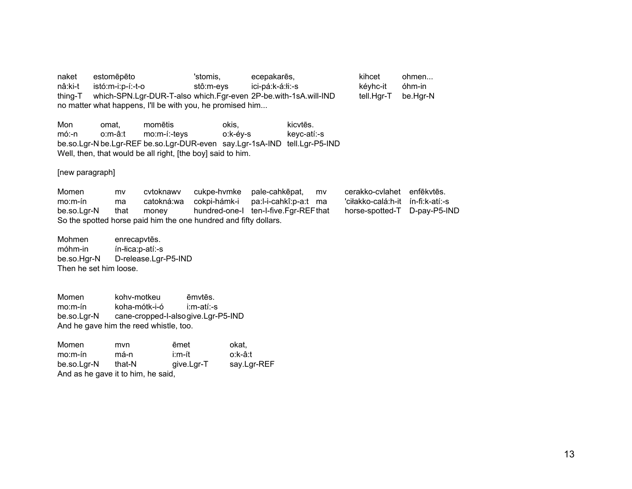naket estomēpēto 'stomis. ecepakarēs, kihcet ohmen... nâ:ki-t istó:m-i:p-í:-t-o stô:m-eys ici-pá:k-á:łi:-s kéyhc-it óhm-in which-SPN.Lgr-DUR-T-also which.Fgr-even 2P-be.with-1sA.will-IND thing-T tell.Hgr-T be.Hgr-N no matter what happens, I'll be with you, he promised him...

Mon momētis okis. kicvtēs. omat. o:k-éy-s  $m6:-n$ o:m-â:t mo:m-í:-tevs keyc-atí:-s be.so.Lgr-N be.Lgr-REF be.so.Lgr-DUR-even say.Lgr-1sA-IND tell.Lgr-P5-IND Well, then, that would be all right, [the boy] said to him.

[new paragraph]

Momen cvtoknawy cukpe-hvmke pale-cahkēpat, cerakko-cvlahet enfēkvtēs. mv mv cokpi-hámk-i pa:l-i-cahkî:p-a:t ma  $mo.m-fn$ catokná:wa 'ciłakko-calá:h-it ín-fi:k-atí:-s ma be.so.Lgr-N that hundred-one-I ten-I-five.Fgr-REFthat horse-spotted-T D-pay-P5-IND money So the spotted horse paid him the one hundred and fifty dollars.

Mohmen enrecapvtēs. móhm-in ín-lica:p-atí:-s D-release.Lgr-P5-IND be.so.Har-N Then he set him loose.

Momen kohv-motkeu ēmvtēs. koha-mótk-i-ó  $mo.m-fn$ i:m-atí:-s cane-cropped-l-alsogive.Lgr-P5-IND be.so.Lgr-N And he gave him the reed whistle, too.

| Momen       | mvn                                | ēmet       | okat,       |
|-------------|------------------------------------|------------|-------------|
| $mo.m-fn$   | má-n                               | i:m-ít     | o:k-â:t     |
| be.so.Lgr-N | that-N                             | give.Lgr-T | say.Lgr-REF |
|             | And as he gave it to him, he said, |            |             |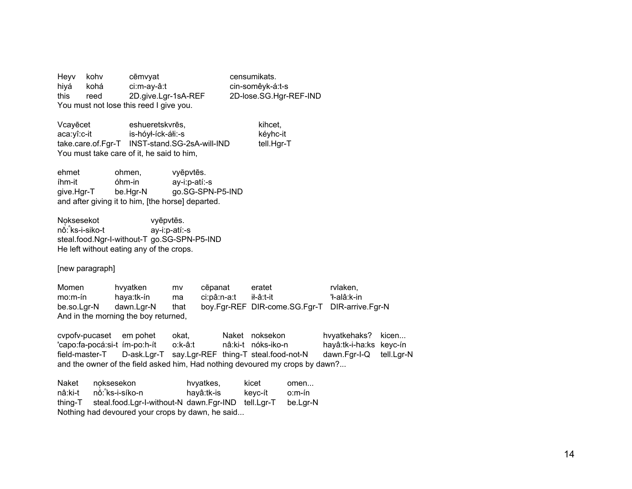Heyv kohv cēmvyat censumikats. hiyá kohá ci:m-ay-â:t cin-somêyk-á:t-s 2D.give.Lgr-1sA-REF 2D-lose.SG.Hgr-REF-IND this reed You must not lose this reed I give you.

Vcayecet eshueretskyres. kihcet. aca:yî:c-it is-hóył-íck-áłi:-s kéyhc-it take.care.of.Fgr-T INST-stand.SG-2sA-will-IND tell.Hgr-T You must take care of it, he said to him,

ehmet ohmen. vyēpvtēs. íhm-it óhm-in ay-i:p-atí:-s aive.Har-T be.Har-N go.SG-SPN-P5-IND and after giving it to him, [the horse] departed.

Noksesekot vyēpvtēs. nǒ: ks-i-siko-t ay-i:p-atí:-s steal.food.Ngr-I-without-T go.SG-SPN-P5-IND He left without eating any of the crops.

[new paragraph]

Momen hvyatken rvlaken. cēpanat eratet mv 'ł-alâ:k-in  $mo.m-fn$ haya:tk-ín ci:pâ:n-a:t il-â:t-it ma boy.Fgr-REF DIR-come.SG.Fgr-T DIR-arrive.Fgr-N dawn.Lgr-N be.so.Lgr-N that And in the morning the boy returned,

cvpofv-pucaset em pohet Naket noksekon hvyatkehaks? kicen... okat. hayâ:tk-i-ha:ks keyc-ín 'capo:fa-pocá:si-t ím-po:h-ít o:k-â:t nâ:ki-t nóks-iko-n D-ask.Lgr-T say.Lgr-REF thing-T steal.food-not-N field-master-T dawn.Fgr-I-Q tell.Lgr-N and the owner of the field asked him, Had nothing devoured my crops by dawn?...

Naket noksesekon hvyatkes, kicet omen... nâ:ki-t nǒ: ks-i-síko-n hayâ:tk-is keyc-ít o:m-ín thing-T steal.food.Lgr-l-without-N dawn.Fgr-IND tell.Lgr-T be.Lgr-N Nothing had devoured your crops by dawn, he said...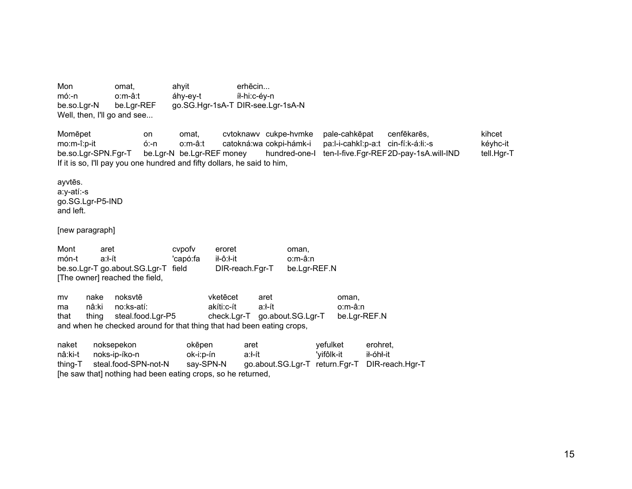Mon omat. ahyit  $erh\bar{e}$ cin  $m6:-n$  $o.m-â:$ áhy-ey-t íł-hi:c-éy-n be.so.Lgr-N be.Lgr-REF go.SG.Hgr-1sA-T DIR-see.Lgr-1sA-N Well, then, I'll go and see... Momēpet on omat. cvtoknawv cukpe-hvmke pale-cahkepat cenfēkarēs. kihcet o:m-â:t catokná:wa cokpi-hámk-i pa:l-i-cahkî:p-a:t cin-fí:k-á:łi:-s kéyhc-it mo:m-î:p-it ó:-n be.Lgr-N be.Lgr-REF money hundred-one-I ten-I-five.Fgr-REF2D-pay-1sA.will-IND be.so.Lgr-SPN.Fgr-T tell.Hgr-T If it is so, I'll pay you one hundred and fifty dollars, he said to him, ayvtēs. a:y-atí:-s go.SG.Lgr-P5-IND and left. [new paragraph] Mont aret cvpofy eroret oman, món-t a:ł-ít 'capó:fa il-ô:l-it o:m-â:n be.so.Lgr-T go.about.SG.Lgr-T field DIR-reach.Fgr-T be.Lgr-REF.N [The owner] reached the field, noksvtē vketēcet mv nake aret oman. a:ł-ít nâ:ki no:ks-atí: akíti:c-ít o:m-â:n ma thing steal.food.Lgr-P5 check.Lgr-T go.about.SG.Lgr-T be.Lgr-REF.N that and when he checked around for that thing that had been eating crops, naket noksepekon yefulket okēpen aret erohret. nâ:ki-t noks-ip-íko-n ok-i:p-ín a:ł-ít 'yifôlk-it ił-óhł-it say-SPN-N go.about.SG.Lgr-T return.Fgr-T DIR-reach.Hgr-T steal.food-SPN-not-N thing-T [he saw that] nothing had been eating crops, so he returned,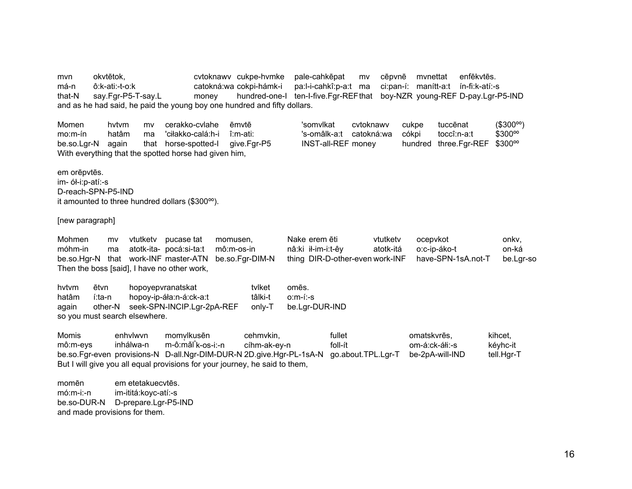mvn okvtētok. cytoknawy cukpe-hymke pale-cahkepat mv cēpvnē mvnettat enfēkvtēs. má-n ô:k-ati:-t-o:k catokná:wa cokpi-hámk-i pa:l-i-cahkî:p-a:t ma ci:pan-í: manítt-a:t ín-fi:k-atí:-s say.Fgr-P5-T-say.L that-N money hundred-one-I ten-I-five.Far-REFthat boy-NZR young-REF D-pay.Lgr-P5-IND and as he had said, he paid the young boy one hundred and fifty dollars.

Momen hytym mv cerakko-cvlahe ēmvtē 'somvlkat cytoknawy  $mo.m-fn$ hatâm ma 'ciłakko-calá:h-i î:m-ati: 's-omâlk-a:t catokná:wa be.so.Lgr-N again that horse-spotted-I give.Fgr-P5 **INST-all-REF money** With everything that the spotted horse had given him,

em orēpvtēs. im- ół-i:p-atí:-s D-reach-SPN-P5-IND it amounted to three hundred dollars (\$300<sup>oo</sup>).

[new paragraph]

Mohmen vtutkety pucase tat momusen. Nake erem ēti vtutketv ocepvkot onky. my móhm-in atotk-ita- pocá:si-ta:t  $m\hat{o}$ : m-os-in nâ:ki ił-im-i:t-êy atotk-itá o:c-ip-áko-t on-ká ma be.so.Har-N that work-INF master-ATN be.so.Far-DIM-N thing DIR-D-other-even work-INF have-SPN-1sA.not-T be.Lar-so Then the boss [said], I have no other work,

hytym ētvn hopoyepvranatskat tvlket omēs. hatâm hopoy-ip-áła:n-á:ck-a:t tâlki-t  $o.m-(-s)$ í:ta-n other-N seek-SPN-INCIP.Lgr-2pA-REF again only-T be.Lgr-DUR-IND so you must search elsewhere.

**Momis** fullet enhylwyn momvlkusēn cehmvkin. omatskyrēs. kihcet. m-ô:mǎl k-os-i:-n  $f$ oll-ít om-á:ck-áłi:-s kéyhc-it mô:m-evs inhálwa-n cíhm-ak-ey-n be.so.Fgr-even provisions-N D-all.Ngr-DIM-DUR-N 2D.give.Hgr-PL-1sA-N go.about.TPL.Lgr-T be-2pA-will-IND tell.Hgr-T But I will give you all equal provisions for your journey, he said to them,

momēn em etetakuecytēs.  $m6:m-i-<sub>n</sub>$ im-ititá:koyc-atí:-s be.so-DUR-N D-prepare.Lgr-P5-IND and made provisions for them.

 $($300^{\circ}$ <sup>o</sup>

\$300%

cukpe

cókpi

tuccēnat

toccî:n-a:t

hundred three.Fgr-REF \$300°°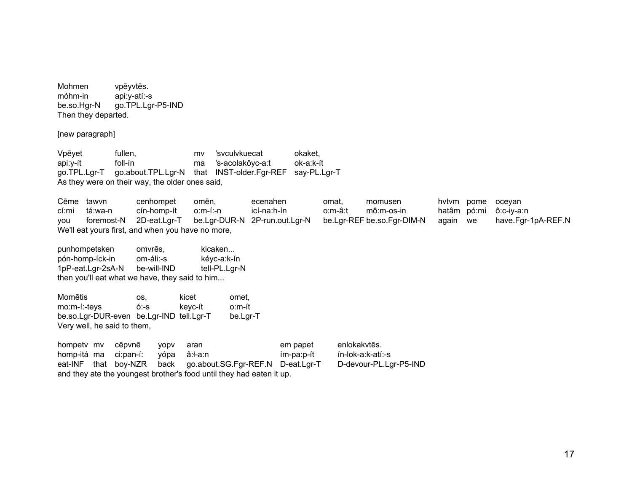Mohmen vpēyvtēs. móhm-in api:y-atí:-s be.so.Hgr-N go.TPL.Lgr-P5-IND Then they departed.

[new paragraph]

Vpēyet fullen, mv 'svculvkuecat okaket, api:y-ít foll-ín ma 's-acolakôyc-a:t ok-a:k-ít go.TPL.Lgr-T go.about.TPL.Lgr-N that INST-older.Fgr-REF say-PL.Lgr-T As they were on their way, the older ones said,

Cēme tawvn cenhompet omēn, ecenahen omat, momusen hvtvm pome oceyan cí:mi tá:wa-n cín-homp-ít o:m-í:-n icí-na:h-ín o:m-â:t mô:m-os-in hatâm pó:mi ô:c-iy-a:n you foremost-N 2D-eat.Lgr-T be.Lgr-DUR-N 2P-run.out.Lgr-N be.Lgr-REF be.so.Fgr-DIM-N again we have.Fgr-1pA-REF.N We'll eat yours first, and when you have no more,

punhompetsken omvrēs, kicaken... pón-homp-íck-in om-áłi:-s kéyc-a:k-ín 1pP-eat.Lgr-2sA-N be-will-IND tell-PL.Lgr-N then you'll eat what we have, they said to him...

| Momētis                                  | os.  | kicet   | omet.    |
|------------------------------------------|------|---------|----------|
| mo:m-í:-teys                             | ó:-s | kevc-ít | o:m-ít   |
| be.so.Lgr-DUR-even be.Lgr-IND tell.Lgr-T |      |         | be.Lgr-T |
| Very well, he said to them,              |      |         |          |

| hompety my cepyne |                       | <b>VODV</b>  | aran                                                                 | em papet   | enlokakvtēs.           |
|-------------------|-----------------------|--------------|----------------------------------------------------------------------|------------|------------------------|
|                   | homp-itá ma ci:pan-í: | vópa â:ł-a:n |                                                                      | ím-pa:p-ít | ín-lok-a:k-atí:-s      |
|                   |                       |              | eat-INF that boy-NZR back go.about.SG.Fgr-REF.N D-eat.Lgr-T          |            | D-devour-PL.Lar-P5-IND |
|                   |                       |              | and they ate the youngest brother's food until they had eaten it up. |            |                        |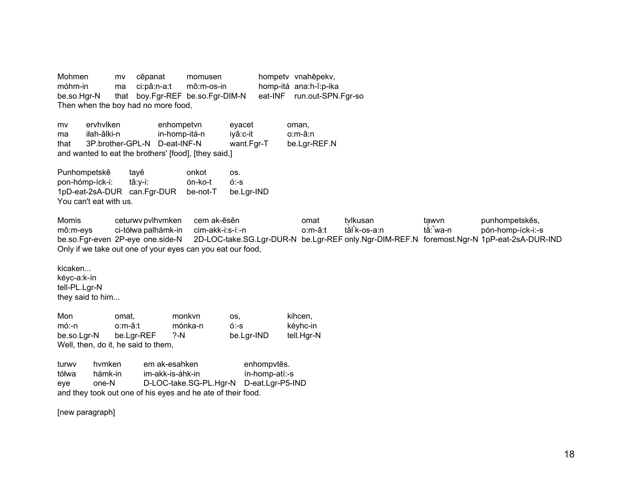Mohmen mv cēpanat momusen hompety vnahēpekv, móhm-in ci:pâ:n-a:t mô:m-os-in homp-itá ana:h-î:p-ika ma that boy.Fgr-REF be.so.Fgr-DIM-N eat-INF run.out-SPN.Fgr-so be.so.Har-N Then when the boy had no more food,

ervhylken mv enhompetvn eyacet oman, ma iłah-âlki-n in-homp-itá-n iyâ:c-it o:m-â:n 3P.brother-GPL-N D-eat-INF-N be.Lgr-REF.N that want.Fgr-T and wanted to eat the brothers' [food], [they said,]

Punhompetskē onkot tayē OS. pon-hómp-íck-i: tâ:y-i: ón-ko-t  $6 - S$ 1pD-eat-2sA-DUR can.Fgr-DUR be-not-T be.Lgr-IND You can't eat with us.

Momis ceturwy pylhymken cem ak-ēsēn omat tvlkusan tawvn punhompetskēs, mô:m-evs ci-tółwa palhámk-in cim-akk-i:s-í:-n o:m-â:t tǎl k-os-a:n tǎ: ็wa-n pón-homp-íck-i:-s be.so.Fgr-even 2P-eye one.side-N 2D-LOC-take.SG.Lgr-DUR-N be.Lgr-REF only.Ngr-DIM-REF.N foremost.Ngr-N 1pP-eat-2sA-DUR-IND Only if we take out one of your eyes can you eat our food,

kicaken...

kévc-a:k-ín tell-PL.Lgr-N they said to him...

Mon monkvn kihcen. omat. OS. kéyhc-in  $m$ ó:-n o:m-â:t mónka-n  $6:-s$ be.so.Lgr-N be.Lgr-REF  $? - N$ be.Lgr-IND tell.Hgr-N Well, then, do it, he said to them,

hymken em ak-esahken turwy enhompvtēs. tółwa hámk-in im-akk-is-áhk-in ín-homp-atí:-s D-LOC-take.SG-PL.Hgr-N eye one-N D-eat.Lgr-P5-IND and they took out one of his eyes and he ate of their food.

[new paragraph]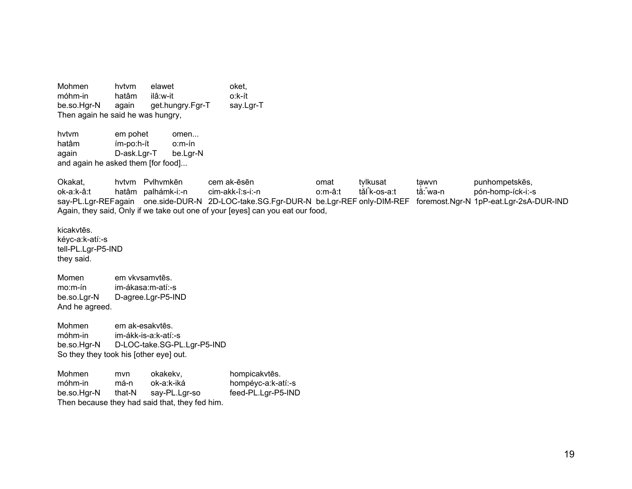Mohmen hvtvm elawet oket, móhm-in hatâm ilâ:w-it o:k-ít be.so.Hgr-N again get.hungry.Fgr-T say.Lgr-T Then again he said he was hungry,

hvtvm em pohet omen... hatâm ím-po:h-ít o:m-ín again D-ask.Lgr-T be.Lgr-N and again he asked them [for food]...

Okakat, hvtvm Pvlhvmkēn cem ak-ēsēn omat tvlkusat ta̯wvn punhompetskēs,<br>ok-aːk-âːt hatâm palhámk-i:-n cim-akk-î:s-i:-n oːm-âːt tǎl kəːlk-os-aːt tǎː va-n pón-homp-íck-i:-s hatâm palhámk-i:-n say-PL.Lgr-REF again one.side-DUR-N 2D-LOC-take.SG.Fgr-DUR-N be.Lgr-REF only-DIM-REF foremost.Ngr-N 1pP-eat.Lgr-2sA-DUR-IND Again, they said, Only if we take out one of your [eyes] can you eat our food,

kicakvtēs. kéyc-a:k-atí:-s tell-PL.Lgr-P5-IND they said.

Momen em vkvsamvtēs. mo:m-ín im-ákasa:m-atí:-s be.so.Lgr-N D-agree.Lgr-P5-IND And he agreed.

Mohmen em ak-esakvtēs. móhm-in im-ákk-is-a:k-atí:-s be.so.Hgr-N D-LOC-take.SG-PL.Lgr-P5-IND So they they took his [other eye] out.

Mohmen mvn okakekv, hompicakvtēs. móhm-in má-n ok-a:k-iká hompéyc-a:k-atí:-s be.so.Hgr-N that-N say-PL.Lgr-so feed-PL.Lgr-P5-IND Then because they had said that, they fed him.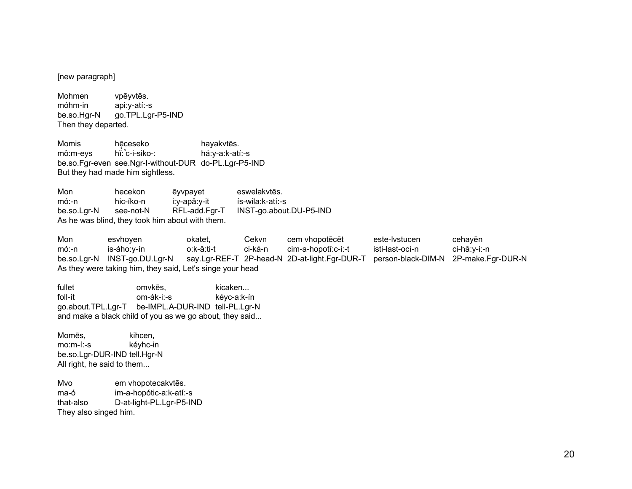[new paragraph]

Mohmen vpēyvtēs. móhm-in api:y-atí:-s go.TPL.Lgr-P5-IND be.so.Har-N Then they departed.

Momis hēceseko hayakvtēs. hi: c-i-siko-: há:y-a:k-atí:-s mô:m-evs be.so.Fgr-even see.Ngr-I-without-DUR do-PL.Lgr-P5-IND But they had made him sightless.

Mon hecekon ēyvpayet eswelakytēs. i:y-apâ:y-it  $m6:-n$ hic-íko-n ís-wila:k-atí:-s be.so.Lgr-N see-not-N RFL-add.Fgr-T INST-go.about.DU-P5-IND As he was blind, they took him about with them.

Mon Cekvn este-lystucen esvhoyen okatet. cem vhopotēcēt cehayēn  $m6:-n$ is-áho:y-ín o:k-â:ti-t ci-ká-n cim-a-hopotî:c-i:-t isti-last-ocí-n ci-hâ:y-i:-n be.so.Lgr-N INST-go.DU.Lgr-N say.Lgr-REF-T 2P-head-N 2D-at-light.Fgr-DUR-T person-black-DIM-N 2P-make.Fgr-DUR-N As they were taking him, they said, Let's singe your head

| fullet             | omvkēs.                                                 | kicaken     |
|--------------------|---------------------------------------------------------|-------------|
| foll-ít            | om-ák-i:-s                                              | kéyc-a:k-ín |
| go.about.TPL.Lgr-T | be-IMPL.A-DUR-IND tell-PL.Lgr-N                         |             |
|                    | and make a black child of you as we go about, they said |             |

Momēs. kihcen.  $mo.m-(.-s)$ kéyhc-in be.so.Lgr-DUR-IND tell.Hgr-N All right, he said to them...

em vhopotecakvtēs. Mvo ma-ó im-a-hopótic-a:k-atí:-s D-at-light-PL.Lgr-P5-IND that-also They also singed him.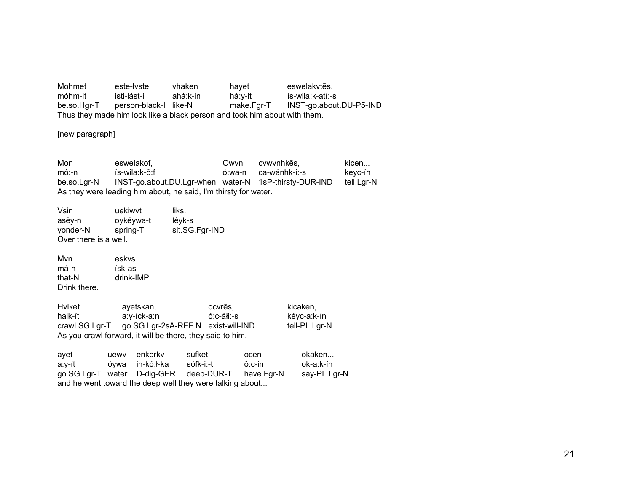Mohmet este-lyste vhaken hayet eswelakytēs. móhm-it isti-lást-i ahá:k-in hâ:y-it ís-wila:k-atí:-s person-black-l like-N make.Fgr-T INST-go.about.DU-P5-IND be.so.Hgr-T Thus they made him look like a black person and took him about with them.

[new paragraph]

Mon eswelakof, Owvn cvwvnhkēs, kicen... keyc-ín  $m6:-n$ ís-wila:k-ô:f ó:wa-n ca-wánhk-i:-s be.so.Lgr-N INST-go.about.DU.Lgr-when water-N 1sP-thirsty-DUR-IND tell.Lgr-N As they were leading him about, he said, I'm thirsty for water.

Vsin uekiwvt liks. oykéywa-t lêyk-s asêy-n sit.SG.Fgr-IND yonder-N spring-T Over there is a well.

Mvn eskys. má-n ísk-as that-N drink-IMP Drink there.

ayetskan, Hvlket kicaken, ocvrēs, kéyc-a:k-ín halk-ít a:y-íck-a:n ó:c-áłi:-s crawl.SG.Lgr-T go.SG.Lgr-2sA-REF.N exist-will-IND tell-PL.Lgr-N As you crawl forward, it will be there, they said to him,

| avet                                                     |  | uewy enkorky    | sufkēt                                            | ocen   | okaken       |
|----------------------------------------------------------|--|-----------------|---------------------------------------------------|--------|--------------|
| a:v-ít                                                   |  | óvwa in-kó:ł-ka | sófk-i:-t                                         | ô:c-in | ok-a:k-ín    |
|                                                          |  |                 | go.SG.Lgr-T water D-dig-GER deep-DUR-T have.Fgr-N |        | say-PL.Lgr-N |
| and he went toward the deep well they were talking about |  |                 |                                                   |        |              |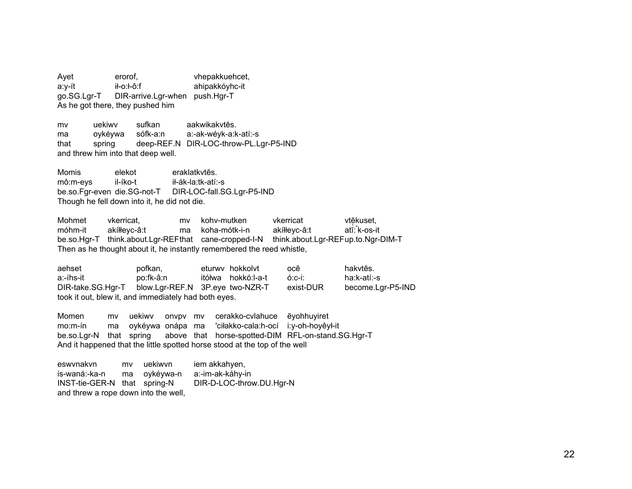Ayet erorof. vhepakkuehcet, a:y-ít ił-o:ł-ô:f ahipakkóyhc-it go.SG.Lgr-T DIR-arrive.Lgr-when push.Hgr-T As he got there, they pushed him

uekiwy sufkan aakwikakytēs. m<sub>v</sub> ma ovkévwa sófk-a:n a:-ak-wévk-a:k-atí:-s deep-REF.N DIR-LOC-throw-PL.Lgr-P5-IND that spring and threw him into that deep well.

Momis elekot eraklatkytēs. mô:m-eys il-íko-t ił-ák-la:tk-atí:-s be.so.Far-even die.SG-not-T DIR-LOC-fall.SG.Lgr-P5-IND Though he fell down into it, he did not die.

Mohmet vkerricat. mv kohv-mutken vkerricat vtēkuset, móhm-it akíłłeyc-â:t ma koha-mótk-i-n akíłłeyc-â:t atĭ: k-os-it be.so.Hgr-T think.about.Lgr-REFthat cane-cropped-I-N think.about.Lgr-REFup.to.Ngr-DIM-T Then as he thought about it, he instantly remembered the reed whistle,

aehset pofkan. eturwy hokkolyt hakytēs. ocē a:-íhs-it po:fk-â:n itółwa hokkó:I-a-t  $6:$ C-i: ha:k-atí:-s DIR-take.SG.Hgr-T blow.Lgr-REF.N 3P.eye two-NZR-T become.Lgr-P5-IND exist-DUR took it out, blew it, and immediately had both eyes.

Momen cerakko-cvlahuce mv uekiwv onvpy my ēyohhuyiret  $mo.m-fn$ ma oykéywa onápa ma 'ciłakko-cala:h-ocí i:y-oh-hoyêył-it be.so.Lgr-N that spring above that horse-spotted-DIM RFL-on-stand.SG.Hgr-T And it happened that the little spotted horse stood at the top of the well

eswynakyn mv uekiwvn iem akkahyen, is-waná:-ka-n oykéywa-n a:-im-ak-káhy-in ma DIR-D-LOC-throw.DU.Hgr-N INST-tie-GER-N that spring-N and threw a rope down into the well,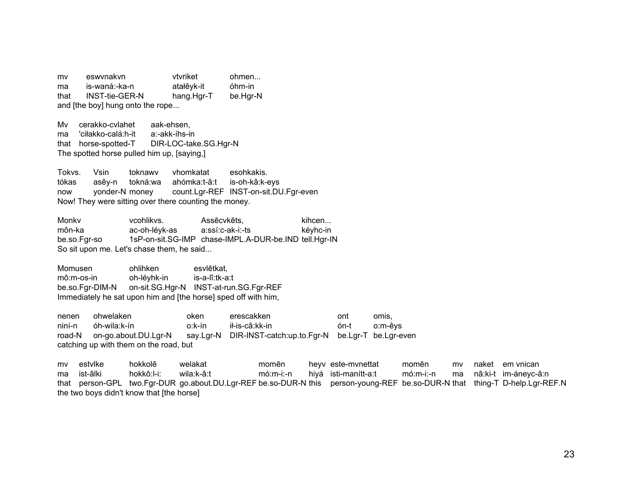mv eswynakyn vtvriket  $ohmen...$ is-waná:-ka-n atałêyk-it óhm-in ma **INST-tie-GER-N** that hang.Hgr-T be.Har-N and [the boy] hung onto the rope...

cerakko-cvlahet Mv. aak-ehsen. ma 'ciłakko-calá:h-it a:-akk-íhs-in that horse-spotted-T DIR-LOC-take.SG.Hgr-N The spotted horse pulled him up, [saying,]

Tokys. Vsin toknawy vhomkatat esohkakis. tókas asêy-n tokná:wa ahómka:t-â:t is-oh-kâ:k-eys count.Lgr-REF INST-on-sit.DU.Fgr-even now yonder-N money Now! They were sitting over there counting the money.

Monky vcohlikvs. Assēcvkēts. kihcen... môn-ka ac-oh-lévk-as a:ssí:c-ak-i:-ts kévhc-in be.so.Far-so 1sP-on-sit.SG-IMP chase-IMPL.A-DUR-be.IND tell.Hgr-IN So sit upon me. Let's chase them, he said...

Momusen ohlihken esvlētkat. mô:m-os-in oh-lévhk-in is-a-lî:tk-a:t on-sit.SG.Hgr-N INST-at-run.SG.Fgr-REF be.so.Fgr-DIM-N Immediately he sat upon him and [the horse] sped off with him,

ohwelaken oken erescakken nenen ont omis. niní-n óh-wila:k-ín  $o:$ k-ín ił-is-câ:kk-in  $ón-t$ o:m-êys on-go.about.DU.Lgr-N say.Lgr-N DIR-INST-catch:up.to.Fgr-N be.Lgr-T be.Lgr-even road-N catching up with them on the road, but

hokkolē m<sub>v</sub> estvlke welakat momēn heyv este-mynettat momēn mv naket em vnican ist-âlki hokkô:l-i: wila:k-â:t  $m6:m-i:-n$ hivá isti-manítt-a:t  $m6:m-i:-n$ nâ:ki-t im-áneyc-â:n ma ma that person-GPL two.Fgr-DUR go.about.DU.Lgr-REF be.so-DUR-N this person-young-REF be.so-DUR-N that thing-T D-help.Lgr-REF.N the two boys didn't know that [the horse]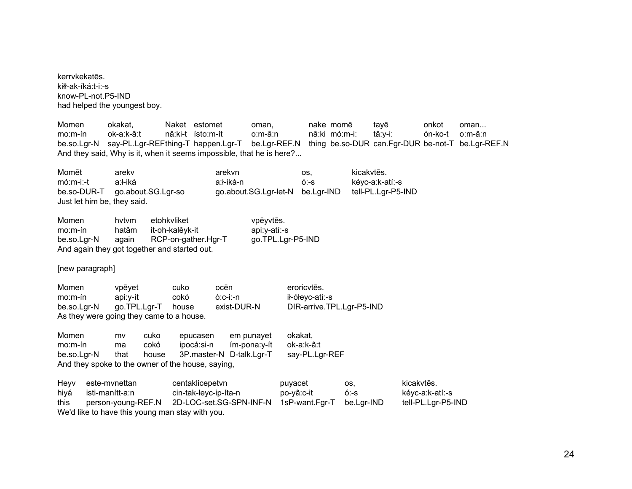kerrvkekatēs. kiłł-ak-íká:t-i:-s know-PL-not.P5-IND had helped the youngest boy.

Momen okakat, Naket estomet oman, nake momē tayē onkot oman... mo:m-ín ok-a:k-â:t nâ:ki-t ísto:m-ít o:m-â:n nâ:ki mó:m-i: tâ:y-i: ón-ko-t o:m-â:n be.so.Lgr-N say-PL.Lgr-REF thing-T happen.Lgr-T be.Lgr-REF.N thing be.so-DUR can.Fgr-DUR be-not-T be.Lgr-REF.N And they said, Why is it, when it seems impossible, that he is here?...

Momēt arekv — arekvn os, kicakvtēs. mó:m-i:-t a:ł-iká a:k-atí:-s a:k-atí:-s a:k-atí:-s a:k-atí:-s a:k-atí:-s a:k-atí:-s a:k-atí:-s consularies a:k-atí:-s consularies a:k-atí:-s consularies a:k-atí:-s consularies a:k-atí:-s consularies a:k-atí:-s consularies be.so-DUR-T go.about.SG.Lgr-so go.about.SG.Lgr-let-N be.Lgr-IND tell-PL.Lgr-P5-IND Just let him be, they said.

Momen hvtvm etohkvliket vpēyvtēs. mo:m-ín hatâm it-oh-kalêyk-it api:y-atí:-s be.so.Lgr-N again RCP-on-gather.Hgr-T go.TPL.Lgr-P5-IND And again they got together and started out.

[new paragraph]

| Momen       | vpēvet                                   | cuko  | ocēn        | eroricvtēs.               |
|-------------|------------------------------------------|-------|-------------|---------------------------|
| $mo.m-fn$   | api:v-ít                                 | cokó  | ó:c-i:-n    | ił-ółevc-atí:-s           |
| be.so.Lgr-N | qo.TPL.Lgr-T                             | house | exist-DUR-N | DIR-arrive.TPL.Lgr-P5-IND |
|             | As they were going they came to a house. |       |             |                           |

| Momen                                             | mv   | cuko  | epucasen                 | em punavet   | okakat.        |
|---------------------------------------------------|------|-------|--------------------------|--------------|----------------|
| mo:m-ín                                           | ma   | cokó  | ipocá:si-n               | ím-pona:v-ít | ok-a:k-â:t     |
| be.so.Lgr-N                                       | that | house | 3P.master-N D-talk.Lgr-T |              | say-PL.Lgr-REF |
| And they spoke to the owner of the house, saying, |      |       |                          |              |                |

Heyv este-mvnettan centaklicepetvn puyacet os, kicakvtēs. hiyá isti-manítt-a:n cin-tak-leyc-ip-íta-n po-yâ:c-it ó:-s kéyc-a:k-atí:-s this person-young-REF.N 2D-LOC-set.SG-SPN-INF-N 1sP-want.Fgr-T be.Lgr-IND tell-PL.Lgr-P5-IND We'd like to have this young man stay with you.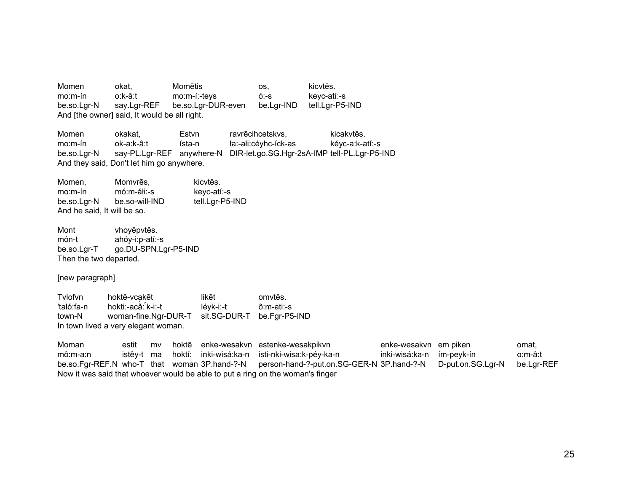Momen okat, Momētis os, kicvtēs. mo:m-ín o:k-â:t mo:m-í:-teys ó:-s keyc-atí:-s be.so.Lgr-N say.Lgr-REF be.so.Lgr-DUR-even be.Lgr-IND tell.Lgr-P5-IND And [the owner] said, It would be all right.

Momen okakat, Estvn ravrēcihcetskvs, kicakvtēs. mo:m-ín ok-a:k-â:t ísta-n ła:-ałi:céyhc-íck-as kéyc-a:k-atí:-s be.so.Lgr-N say-PL.Lgr-REF anywhere-N DIR-let.go.SG.Hgr-2sA-IMP tell-PL.Lgr-P5-IND And they said, Don't let him go anywhere.

Momen, Momvrēs, kicvtēs. mo:m-ín mó:m-áłi:-s keyc-atí:-s be.so.Lgr-N be.so-will-IND tell.Lgr-P5-IND And he said, It will be so.

Mont vhoyēpvtēs. món-t ahóy-i:p-atí:-s be.so.Lgr-T go.DU-SPN.Lgr-P5-IND Then the two departed.

[new paragraph]

Tvlofvn hoktē-vca̜ 'taló:fa-n hokti:-acǎ:<sup>ⁿ</sup>k-i:-t léyk-i:-t ô:m-ati:-s likēt omvtēs. town-N woman-fine.Ngr-DUR-T sit.SG-DUR-T be.Fgr-P5-IND In town lived a very elegant woman.

Moman estit mv hoktē enke-wesakvn estenke-wesakpikvn enke-wesakvn em piken omat, mô:m-a:n istêy-t ma hoktí: inki-wisá:ka-n isti-nki-wisa:k-péy-ka-n inki-wisá:ka-n ím-peyk-ín o:m-â:t be.so.Fgr-REF.N who-T that woman 3P.hand-?-N person-hand-?-put.on.SG-GER-N 3P.hand-?-N D-put.on.SG.Lgr-N be.Lgr-REF Now it was said that whoever would be able to put a ring on the woman's finger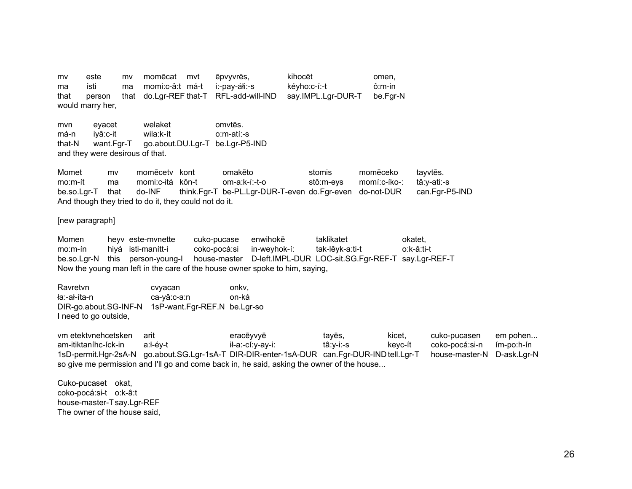mv este mv momēcat mvt ēpvyvrēs, kihocēt omen, ma ísti ma momi:c-â:t má-t i:-pay-áłi:-s kéyho:c-í:-t ô:m-in that person that do.Lgr-REF that-T RFL-add-will-IND say.IMPL.Lgr-DUR-T be.Fgr-N would marry her,

mvn eyacet welaket omvtēs. má-n iyâ:c-it wila:k-ít o:m-atí:-s that-N want.Fgr-T go.about.DU.Lgr-T be.Lgr-P5-IND and they were desirous of that.

Momet mv momēcetv kont omakēto stomis momēceko tayvtēs. mo:m-ít ma momi:c-itá kôn-t om-a:k-í:-t-o stô:m-eys momí:c-íko-: tâ:y-ati:-s be.so.Lgr-T that do-INF think.Fgr-T be-PL.Lgr-DUR-T-even do.Fgr-even do-not-DUR can.Fgr-P5-IND And though they tried to do it, they could not do it.

[new paragraph]

Momen heyv este-mynette cuko-pucase enwihokē taklikatet okatet, mo:m-ín hiyá isti-manítt-i coko-pocá:si in-weyhok-í: tak-lêyk-a:ti-t o:k-â:ti-t be.so.Lgr-N this person-young-I house-master D-left.IMPL-DUR LOC-sit.SG.Fgr-REF-T say.Lgr-REF-T Now the young man left in the care of the house owner spoke to him, saying,

| Ravretvn              | cvyacan                      | onky. |
|-----------------------|------------------------------|-------|
| ła:-ał-íta-n          | ca-yâ:c-a:n                  | on-ká |
| DIR-go.about.SG-INF-N | 1sP-want.Fgr-REF.N be.Lgr-so |       |
| I need to go outside, |                              |       |

vm etektvnehcetsken arit eracēyvyē tayēs, kicet, cuko-pucasen em pohen... am-itiktaníhc-íck-in a:ł-éy-t il-a:-cí:y-ay-i: tâ:y-i:-s keyc-ít coko-pocá:si-n ím-po:h-ín 1sD-permit.Hgr-2sA-N go.about.SG.Lgr-1sA-T DIR-DIR-enter-1sA-DUR can.Fgr-DUR-IND tell.Lgr-T house-master-N D-ask.Lgr-N so give me permission and I'll go and come back in, he said, asking the owner of the house...

Cuko-pucaset okat, coko-pocá:si-t o:k-â:t house-master-T say.Lgr-REF The owner of the house said,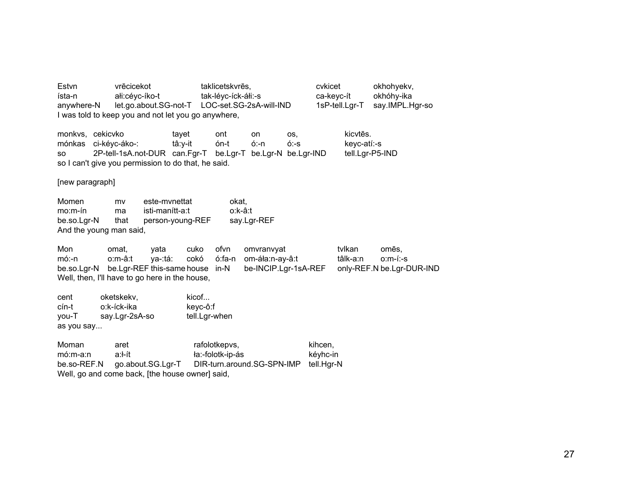Estvn vrēcicekot taklicetskvrēs, cvkicet okhohyekv, okhóhy-ika ísta-n ałi:céyc-íko-t tak-léyc-íck-áłi:-s ca-keyc-ít let.go.about.SG-not-T LOC-set.SG-2sA-will-IND 1sP-tell.Lgr-T say.IMPL.Hgr-so anywhere-N I was told to keep you and not let you go anywhere, monkvs. cekicvko tavet ont on OS. kicvtēs. mónkas ci-kéyc-áko-:  $6n-t$  $6: -n$  $6 - S$ keyc-atí:-s tâ:y-it 2P-tell-1sA.not-DUR can.Fgr-T be.Lgr-T be.Lgr-N be.Lgr-IND tell.Lgr-P5-IND **SO** so I can't give you permission to do that, he said. [new paragraph] Momen este-mynettat mv okat.  $mo.m-fn$ isti-manítt-a:t o:k-â:t ma be.so.Lar-N that person-young-REF say.Lgr-REF And the young man said, Mon ofvn tvlkan omat. yata cuko omvranvyat omēs. tâlk-a:n  $0: m - 1: -S$  $m6:-n$ o:m-â:t va-:tá: cokó ó:fa-n om-áła:n-ay-â:t be.so.Lgr-N be.Lgr-REF this-same house in-N be-INCIP.Lgr-1sA-REF only-REF.N be.Lgr-DUR-IND Well, then, I'll have to go here in the house, oketskekv. kicof... cent o:k-íck-ika cín-t keyc-ô:f say.Lgr-2sA-so tell.Lgr-when you-T as you say... Moman rafolotkepvs, kihcen. aret  $m6:m-a:n$ a:ł-ít ła:-folotk-ip-ás kéyhc-in be.so-REF.N go.about.SG.Lgr-T DIR-turn.around.SG-SPN-IMP tell.Hgr-N

Well, go and come back, [the house owner] said,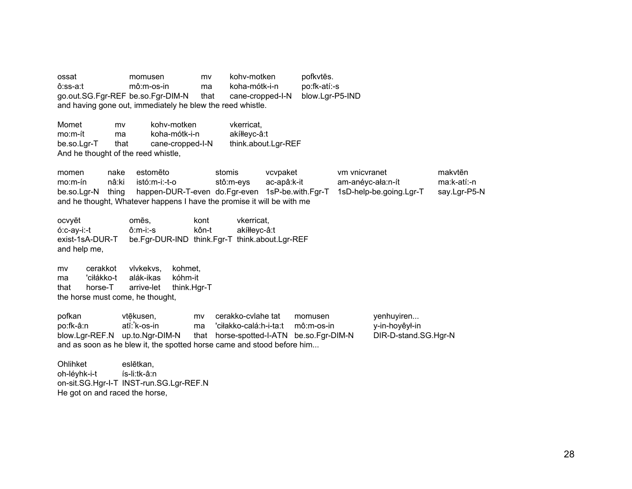ossat momusen mv kohv-motken pofkytēs.  $ô:ss-art$  $m\hat{o}$ :m-os-in koha-mótk-i-n po:fk-atí:-s ma go.out.SG.Fgr-REF be.so.Fgr-DIM-N blow.Lgr-P5-IND that cane-cropped-I-N and having gone out, immediately he blew the reed whistle.

Momet kohv-motken mv vkerricat. mo:m-ít koha-mótk-i-n akíłłevc-â:t ma cane-cropped-I-N think.about.Lgr-REF be.so.Lgr-T that And he thought of the reed whistle,

vcvpaket vm vnicvranet makvtēn momen nake estomēto stomis am-anéyc-ała:n-ít  $mo.m-fn$ nâ:ki istó:m-i:-t-o stô:m-eys ac-apâ:k-it ma:k-atí:-n be.so.Lar-N thing happen-DUR-T-even do.Fgr-even 1sP-be.with.Fgr-T 1sD-help-be.going.Lgr-T say.Lgr-P5-N and he thought, Whatever happens I have the promise it will be with me

ocvyēt omēs. kont vkerricat. ó:c-ay-i:-t  $ô: m-i:-s$ kôn-t akíłłeyc-â:t be.Fgr-DUR-IND think.Fgr-T think.about.Lgr-REF exist-1sA-DUR-T and help me,

cerakkot vlvkekvs. kohmet. mv ma 'ciłákko-t alák-ikas kóhm-it horse-T that arrive-let think.Hgr-T the horse must come, he thought,

pofkan cerakko-cvlahe tat yenhuyiren... vtēkusen. mv momusen atĭ: k-os-in po:fk-â:n ma 'ciłakko-calá:h-i-ta:t  $m\hat{o}$ :m-os-in y-in-hoyêył-in blow.Lgr-REF.N up.to.Ngr-DIM-N that horse-spotted-I-ATN be.so.Fgr-DIM-N DIR-D-stand.SG.Hgr-N and as soon as he blew it, the spotted horse came and stood before him...

Ohlihket eslētkan. oh-lévhk-i-t ís-li:tk-â:n on-sit.SG.Hgr-I-T INST-run.SG.Lgr-REF.N He got on and raced the horse,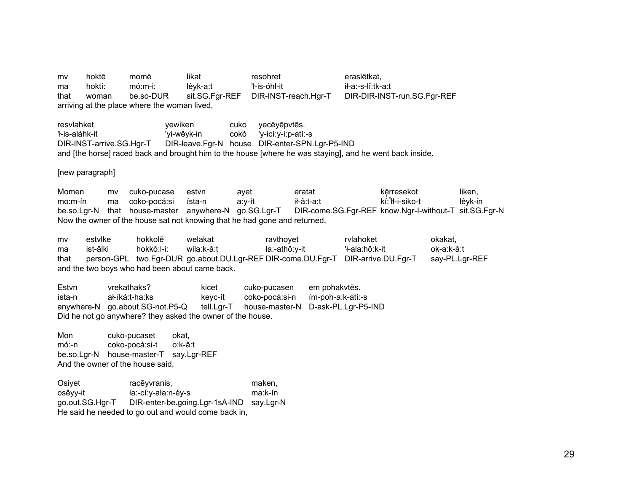mv hoktē momē likat resohret eraslētkat. hoktí:  $m$ ó: m-i: lêyk-a:t 'ł-is-óhł-it ił-a:-s-lî:tk-a:t ma be so-DUR DIR-DIR-INST-run.SG.Fgr-REF that woman sit.SG.Fgr-REF DIR-INST-reach.Hgr-T arriving at the place where the woman lived,

resvlahket vewiken cuko yecēyēpvtēs. 'ł-is-aláhk-it 'vi-wêvk-in cokó 'y-icí:y-i:p-atí:-s DIR-leave.Fgr-N house DIR-enter-SPN.Lgr-P5-IND DIR-INST-arrive.SG.Hgr-T and [the horse] raced back and brought him to the house [where he was staying], and he went back inside.

[new paragraph]

Momen kērresekot liken. cuko-pucase estvn eratat mv ayet kĭ: <sup>1</sup>ł-i-siko-t  $mo.m-fn$ ma coko-pocá:si ísta-n a:y-ít ił-â:t-a:t lêyk-in be.so.Lgr-N that house-master anywhere-N go.SG.Lgr-T DIR-come.SG.Fgr-REF know.Ngr-I-without-T sit.SG.Fgr-N Now the owner of the house sat not knowing that he had gone and returned.

mv estylke hokkolē welakat ravthovet rvlahoket okakat. hokkô:l-i: ła:-athô:y-it 'ł-ala:hô:k-it ist-âlki wila:k-â:t ok-a:k-â:t ma person-GPL two.Fgr-DUR go.about.DU.Lgr-REF DIR-come.DU.Fgr-T DIR-arrive.DU.Fgr-T that say-PL.Lgr-REF and the two boys who had been about came back.

vrekathaks? Estvn kicet cuko-pucasen em pohakvtēs. ał-íká:t-ha:ks kevc-ít coko-pocá:si-n ím-poh-a:k-atí:-s ísta-n house-master-N D-ask-PL.Lgr-P5-IND anywhere-N go.about.SG-not.P5-Q tell.Lgr-T Did he not go anywhere? they asked the owner of the house.

Mon cuko-pucaset okat.  $m6:-n$ coko-pocá:si-t o:k-â:t be.so.Lgr-N house-master-T say.Lgr-REF And the owner of the house said.

Osiyet racēyvranis, maken, ła:-cí:y-ała:n-éy-s osêyy-it ma:k-ín go.out.SG.Hgr-T DIR-enter-be.going.Lgr-1sA-IND say.Lgr-N He said he needed to go out and would come back in,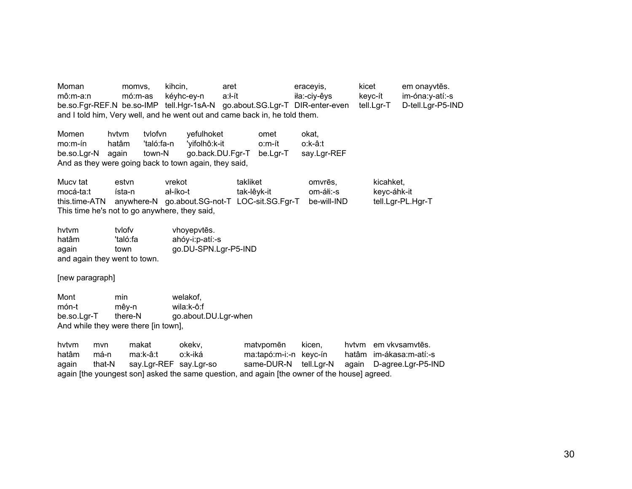Moman momvs, kihcin, aret eraceyis, kicet em onayvt ēs. mô:m-a:n mó:m-as kéyhc-ey-n a:ł-ít ia:-ciy-êys keyc-ít im-óna:y-atí:-s be.so.Fgr-REF.N be.so-IMP tell.Hgr-1sA-N go.about.SG.Lgr-T DIR-enter-even tell.Lgr-T D-tell.Lgr-P5-IND and I told him, Very well, and he went out and came back in, he told them.

Momen hvtvm tvlofvn yefulhoket omet okat, mo:m-ín hatâm 'taló:fa-n 'yifolhô:k-it o:m-ít o:k-â:t be.so.Lgr-N again town-N go.back.DU.Fgr-T be.Lgr-T say.Lgr-REF And as they were going back to town again, they said,

Mucy tat estyn vrekot takliket omvrēs. kicahket, mocá-ta:t ísta-n ał-íko-t tak-lêyk-it om-áłi:-s keyc-áhk-it this.time-ATN anywhere-N go.about.SG-not-T LOC-sit.SG.Fgr-T be-will-IND tell.Lgr-PL.Hgr-T This time he's not to go anywhere, they said,

hvtvm tvlofv vhoyepvt ēs. hatâm 'taló:fa ahóy-i:p-atí:-s again town go.DU-SPN.Lgr-P5-IND and again they went to town.

[new paragraph]

Mont min welakof. món-t mêy-n wila:k-ô:f be.so.Lgr-T there-N go.about.DU.Lgr-when And while they were there [in town],

hvtvm mvn makat okekv, matvpomēn ēn kicen, hvtvm em vkvsamvt ēs. hatâm má-n ma:k-â:t o:k-iká ma:tapó:m-i:-n keyc-ín hatâm im-ákasa:m-atí:-s again that-N say.Lgr-REF say.Lgr-so same-DUR-N tell.Lgr-N again D-agree.Lgr-P5-IND again [the youngest son] asked the same question, and again [the owner of the house] agreed.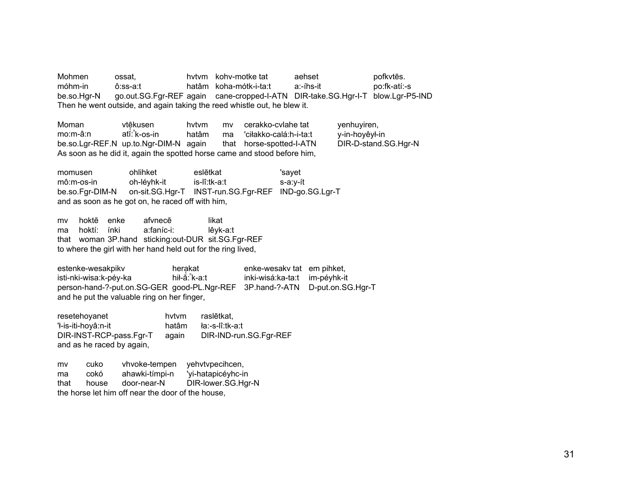Mohmen ossat. hvtvm kohv-motke tat aehset pofkytēs. móhm-in ô:ss-a:t hatâm koha-mótk-i-ta:t a:-íhs-it po:fk-atí:-s be.so.Hgr-N go.out.SG.Fgr-REF again cane-cropped-I-ATN DIR-take.SG.Hgr-I-T blow.Lgr-P5-IND Then he went outside, and again taking the reed whistle out, he blew it.

Moman vtēkusen ̜kusen hvtvm mv cerakko-cvlahe tat yenhuyiren, mo:m-â:n ma 'ciłakko-calá:h-i-ta:t be.so.Lgr-REF.N up.to.Ngr-DIM-N again that horse-spotted-I-ATN DIR-D-stand.SG.Hgr-N As soon as he did it, again the spotted horse came and stood before him,

momusen ohlihket eslētkat 'sayet mô:m-os-in oh-léyhk-it is-lî:tk-a:t s-a:y-ít be.so.Fgr-DIM-N on-sit.SG.Hgr-T INST-run.SG.Fgr-REF IND-go.SG.Lgr-T and as soon as he got on, he raced off with him,

mv hoktē enke afvnecafynecē likat ma hoktí: ínki a:faníc-i: lêyk-a:t that woman 3P.hand sticking:out-DUR sit.SG.Fgr-REF to where the girl with her hand held out for the ring lived,

estenke-wesakpikv hera̜kat enke-wesakv tat em pihket, isti-nki-wisa:k-péy-ka inki-wisá:ka-ta:t im-péyhk-it person-hand-?-put.on.SG-GER good-PL.Ngr-REF 3P.hand-?-ATN D-put.on.SG.Hgr-T and he put the valuable ring on her finger,

resetehoyanet hvtvm raslētkat. 'ł-is-iti-hoyâ:n-it hatâm ła:-s-lî:tk-a:t DIR-INST-RCP-pass.Fgr-T again DIR-IND-run.SG.Fgr-REF and as he raced by again,

mv cuko vhvoke-tempen yehvtvpecihcen, ma cokó ahawki-tímpi-n 'yi-hatapicéyhc-in that house door-near-N DIR-lower.SG.Hgr-N the horse let him off near the door of the house,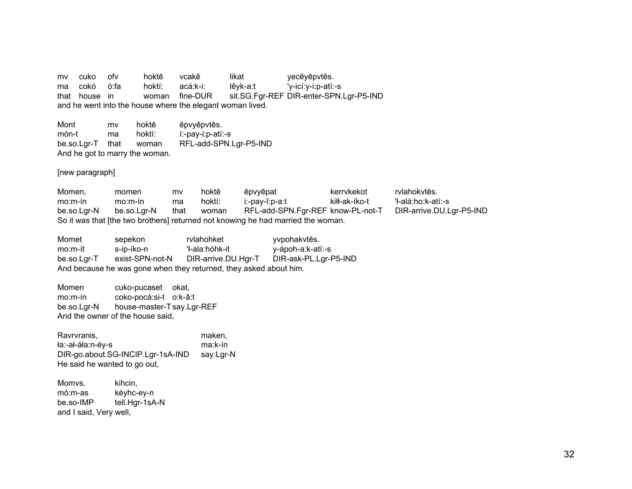mv cuko ofv hoktē vcakē likat yecēyēpvtēs. ma cokó ó:fa hoktí: acá:k-i: lêyk-a:t 'y-icí:y-i:p-atí:-s that house in woman fine-DUR sit.SG.Fgr-REF DIR-enter-SPN.Lgr-P5-IND and he went into the house where the elegant woman lived.

Mont mv hoktē ēpvyēpvtēs. món-t ma hoktí: í:-pay-i:p-atí:-s be.so.Lgr-T that woman RFL-add-SPN.Lgr-P5-IND And he got to marry the woman.

[new paragraph]

Momen, momen mv hoktē ēpvyēpat kerrvkekot rvlahokvtēs. mo:m-ín mo:m-ín ma hoktí: i:-pay-î:p-a:t kiłł-ak-íko-t 'ł-alá:ho:k-atí:-s be.so.Lgr-N be.so.Lgr-N that woman RFL-add-SPN.Fgr-REF know-PL-not-T DIR-arrive.DU.Lgr-P5-IND So it was that [the two brothers] returned not knowing he had married the woman.

Momet sepekon rvlahohket yvpohakvtēs. mo:m-ít s-ip-íko-n 'ł-ala:hóhk-it y-ápoh-a:k-atí:-s be.so.Lgr-T exist-SPN-not-N DIR-arrive.DU.Hgr-T DIR-ask-PL.Lgr-P5-IND And because he was gone when they returned, they asked about him.

Momen cuko-pucaset okat, mo:m-ín coko-pocá:si-t o:k-â:t be.so.Lgr-N house-master-T say.Lgr-REF And the owner of the house said,

Ravrvranis, maken, maken, maken, maken, maken, maken, maken, maken, maken, maken, maken, maken, maken, maken, ła:-ał-áła:n-éy-s ma:k-ín DIR-go.about.SG-INCIP.Lgr-1sA-IND say.Lgr-N He said he wanted to go out,

Momvs, kihcin, mó:m-as kéyhc-ey-n be.so-IMP tell.Hgr-1sA-N and I said, Very well,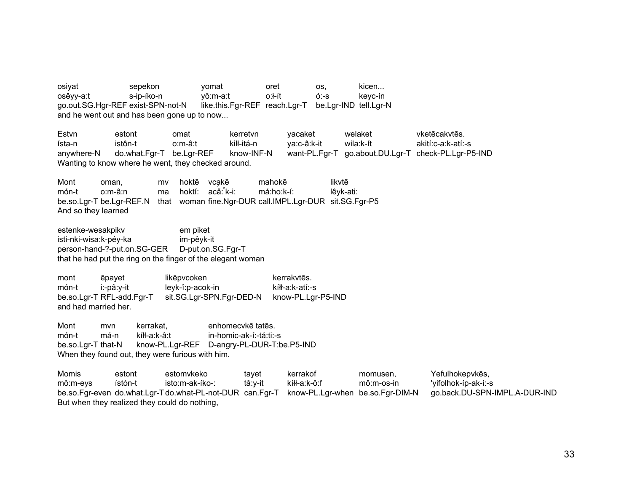osiyat oret kicen... sepekon yomat OS,  $0:1$ -ít osêyy-a:t s-ip-íko-n vô:m-a:t  $6:-s$ kevc-ín like.this.Fgr-REF reach.Lgr-T go.out.SG.Hgr-REF exist-SPN-not-N be.Lgr-IND tell.Lgr-N and he went out and has been gone up to now...

Estvn estont omat kerretvn vacaket welaket vketēcakvtēs. istôn-t kiłł-itá-n wila:k-ít ísta-n o:m-â:t ya:c-â:k-it akití:c-a:k-atí:-s know-INF-N do.what.Fgr-T be.Lgr-REF want-PL.Fgr-T go.about.DU.Lgr-T check-PL.Lgr-P5-IND anvwhere-N Wanting to know where he went, they checked around.

Mont oman. hoktē vcakē mahokē likvtē mv món-t o:m-â:n hoktí: acǎ: k-i: má:ho:k-í: lêvk-ati: ma that woman fine.Ngr-DUR call.IMPL.Lgr-DUR sit.SG.Fgr-P5 be.so.Lgr-T be.Lgr-REF.N And so they learned

estenke-wesakpikv em piket isti-nki-wisa:k-pév-ka im-pêyk-it person-hand-?-put.on.SG-GER D-put.on.SG.Fgr-T that he had put the ring on the finger of the elegant woman

mont ēpayet likēpvcoken kerrakytēs. leyk-î:p-acok-in món-t i:-pâ:y-it kíłł-a:k-atí:-s be.so.Lgr-T RFL-add.Fgr-T sit.SG.Lgr-SPN.Fgr-DED-N know-PL.Lgr-P5-IND and had married her.

Mont mvn kerrakat. enhomecykē tatēs. món-t má-n kíłł-a:k-â:t in-homic-ak-í:-tá:ti:-s know-PL.Lgr-REF D-angry-PL-DUR-T:be.P5-IND be.so.Lgr-T that-N When they found out, they were furious with him.

Momis estont estomvkeko tavet kerrakof Yefulhokepvkēs, momusen. mô:m-eys ístón-t isto:m-ak-íko-: tâ:y-it kíłł-a:k-ô:f mô:m-os-in 'yifolhok-íp-ak-i:-s be.so.Fgr-even do.what.Lgr-Tdo.what-PL-not-DUR can.Fgr-T know-PL.Lgr-when be.so.Fgr-DIM-N go.back.DU-SPN-IMPL.A-DUR-IND But when they realized they could do nothing,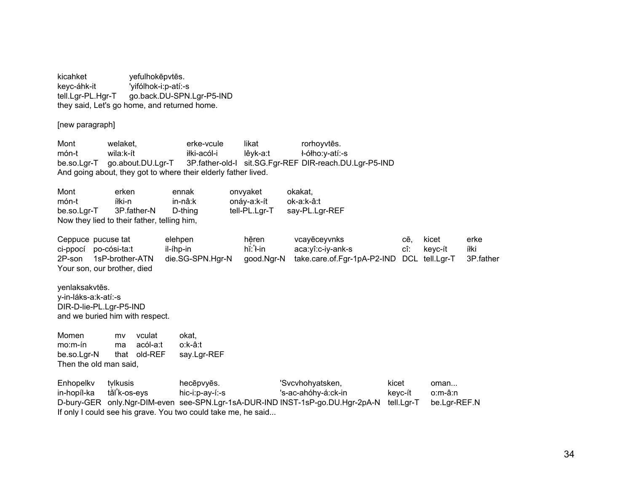kicahket vefulhokēpvtēs. keyc-áhk-it 'yifólhok-i:p-atí:-s go.back.DU-SPN.Lgr-P5-IND tell.Lgr-PL.Hgr-T they said, Let's go home, and returned home.

[new paragraph]

welaket. erke-vcule rorhoyvtēs. Mont likat món-t wila:k-ít iłki-acól-i lêvk-a:t ł-ółho:y-atí:-s 3P.father-old-I sit.SG.Fgr-REF DIR-reach.DU.Lgr-P5-IND be.so.Lgr-T go.about.DU.Lgr-T And going about, they got to where their elderly father lived.

Mont erken okakat. ennak onvyaket onáy-a:k-ít món-t íłki-n in-nâ:k ok-a:k-â:t be.so.Lgr-T 3P.father-N D-thing tell-PL.Lgr-T say-PL.Lgr-REF Now they lied to their father, telling him,

Ceppuce pucuse tat elehpen hēren vcayēceyvnks cē. kicet erke aca:yî:c-iy-ank-s ci-ppocí po-cósi-ta:t hĭ: l-in cî: íłki il-íhp-in keyc-ít die.SG-SPN.Hgr-N take.care.of.Fgr-1pA-P2-IND DCL tell.Lgr-T 2P-son 1sP-brother-ATN aood.Nar-N 3P.father Your son, our brother, died

yenlaksakvtēs. v-in-láks-a:k-atí:-s DIR-D-lie-PL.Lgr-P5-IND and we buried him with respect.

Momen vculat okat. mv  $mo.m-fn$ acól-a:t o:k-â:t ma that old-REF be.so.Lgr-N say.Lgr-REF Then the old man said.

Enhopelky tvlkusis hecēpvyēs. 'Svcvhohyatsken, kicet oman... tǎl k-os-eys hic-i:p-ay-í:-s 's-ac-ahóhy-á:ck-in in-hopíl-ka keyc-ít o:m-â:n D-bury-GER only.Ngr-DIM-even see-SPN.Lgr-1sA-DUR-IND INST-1sP-go.DU.Hgr-2pA-N tell.Lgr-T be.Lgr-REF.N If only I could see his grave. You two could take me, he said...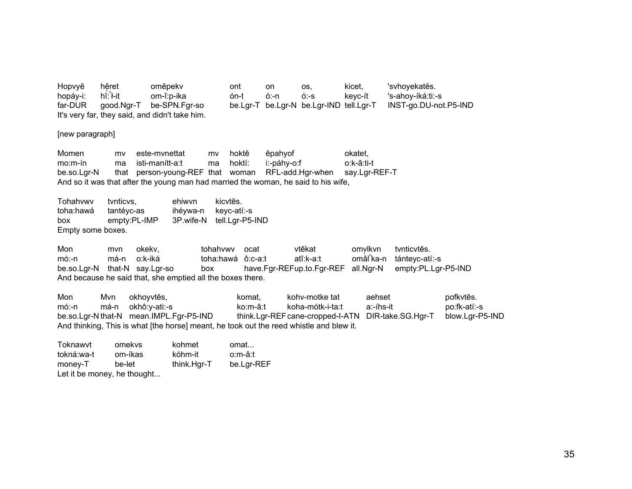Hopvyē hēret omēpekv ont OS, kicet. 'svhoyekatēs. on hĭ: l-it om-î:p-ika  $6 - s$ 's-ahoy-íká:ti:-s hopáy-i: ón-t  $6: n$ keyc-ít far-DUR good.Ngr-T be-SPN.Fgr-so be.Lgr-T be.Lgr-N be.Lgr-IND tell.Lgr-T INST-go.DU-not.P5-IND It's very far, they said, and didn't take him.

[new paragraph]

Momen este-mynettat hoktē ēpahyof okatet. mv mv i:-páhy-o:f  $mo.m-fn$ isti-manítt-a:t hoktí: o:k-â:ti-t ma ma that person-young-REF that woman RFL-add.Hgr-when be.so.Lgr-N say.Lgr-REF-T And so it was that after the young man had married the woman, he said to his wife,

Tohahvwv ehiwvn kicvtēs. tynticys. toha:hawá tantéyc-as ihéywa-n keyc-atí:-s box empty:PL-IMP 3P.wife-N tell.Lgr-P5-IND Empty some boxes.

Mon tohahywy ocat vtēkat omvlkvn tynticytes. okekv. mvn o:k-iká atî:k-a:t omăl ka-n  $m6:-n$ má-n toha:hawá ô:c-a:t tántevc-atí:-s have.Fgr-REFup.to.Fgr-REF be.so.Lgr-N that-N say.Lgr-so all.Ngr-N empty:PL.Lgr-P5-IND box And because he said that, she emptied all the boxes there.

Mon Mvn okhoyvtēs, kohv-motke tat aehset pofkytēs. komat. okhô:y-ati:-s a:-íhs-it  $m6:-n$ má-n ko:m-â:t koha-mótk-i-ta:t po:fk-atí:-s be.so.Lgr-N that-N mean.IMPL.Fgr-P5-IND think.Lgr-REF cane-cropped-I-ATN DIR-take.SG.Hgr-T blow.Lgr-P5-IND And thinking, This is what [the horse] meant, he took out the reed whistle and blew it.

| Toknawvt                    | omekys  | kohmet      | omat       |
|-----------------------------|---------|-------------|------------|
| tokná:wa-t                  | om-íkas | kóhm-it     | o:m-â:t    |
| money-T                     | be-let  | think.Hgr-T | be.Lgr-REF |
| Let it be money, he thought |         |             |            |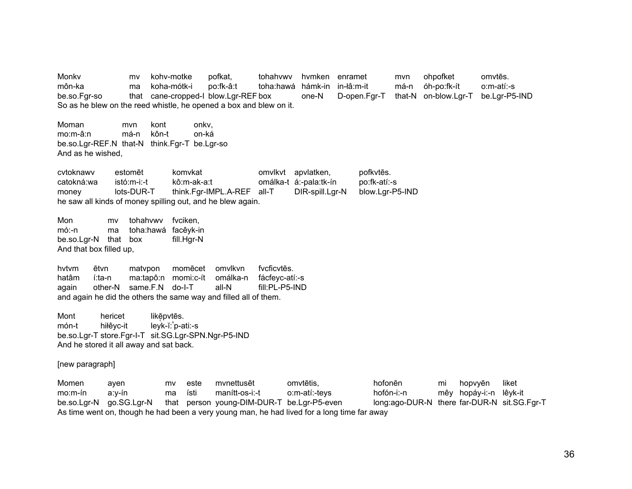Monky mv kohv-motke pofkat. tohahywy hymken enramet mvn ohpofket omvtēs. môn-ka koha-mótk-i po:fk-â:t toha:hawá hámk-in in-łâ:m-it má-n óh-po:fk-ít  $o.m-ati-s$ ma be.so.Fgr-so cane-cropped-I blow.Lgr-REF box that one-N D-open.Far-T that-N on-blow.Lar-T be.Lar-P5-IND So as he blew on the reed whistle, he opened a box and blew on it.

Moman mvn kont onky.  $mo.m-\hat{a}$ :n má-n kôn-t on-ká be.so.Lgr-REF.N that-N think.Fgr-T be.Lgr-so And as he wished.

cvtoknawv komvkat omvlkvt apvlatken, pofkytēs. estomēt catokná:wa  $ist6:m-i-1$ kô:m-ak-a:t omálka-t á:-pala:tk-ín po:fk-atí:-s lots-DUR-T think.Far-IMPL.A-REF all-T DIR-spill.Lar-N blow.Lgr-P5-IND money he saw all kinds of money spilling out, and he blew again.

Mon mv tohahywy fyciken.  $m$ ó:-n ma toha:hawá facêyk-in be.so.Lgr-N that box fill.Hgr-N And that box filled up,

matvpon omvlkvn fvcficytes. hytym ētvn momēcet hatâm í:ta-n ma:tapô:n momi:c-ít omálka-n fácfevc-atí:-s other-N same.F.N do-I-T all-N fill:PL-P5-IND again and again he did the others the same way and filled all of them.

Mont hericet likēpvtēs. món-t hiłêyc-it  $leyk-i'.p-ati:-s$ be.so.Lgr-T store.Fgr-I-T sit.SG.Lgr-SPN.Ngr-P5-IND And he stored it all away and sat back.

## [new paragraph]

hofonēn Momen mv este mynettusēt omvtētis. hopvyēn liket ayen mi hofón-i:-n mêy hopáy-i:-n lêyk-it  $mo.m-fn$ ísti  $man<sub>if</sub> - os-i-<sub>f</sub>$ o:m-atí:-teys a:y-ín ma be.so.Lgr-N go.SG.Lgr-N that person young-DIM-DUR-T be.Lgr-P5-even long:ago-DUR-N there far-DUR-N sit.SG.Fgr-T As time went on, though he had been a very young man, he had lived for a long time far away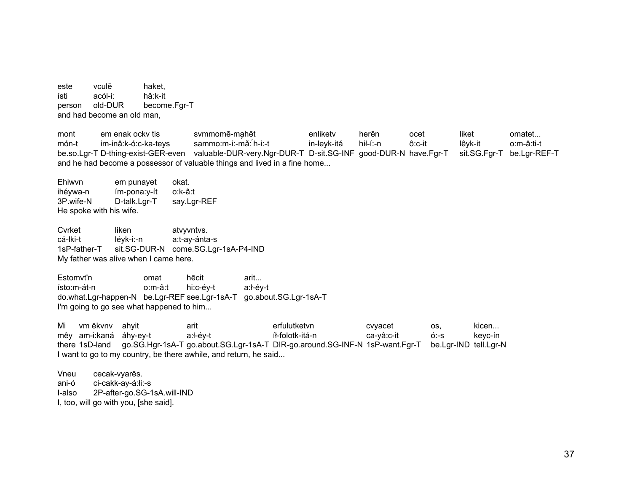este vculē haket. acól-i: ísti hâ:k-it old-DUR become.Fgr-T person and had become an old man.

mont em enak ocky tis svmmomē-mahēt enliketv herēn ocet liket omatet... món-t im-inâ:k-ó:c-ka-teys sammo:m-i:-mǎ: h-i:-t in-leyk-itá hił-í:-n ô:c-it lêyk-it o:m-â:ti-t be.so.Lgr-T D-thing-exist-GER-even valuable-DUR-very.Ngr-DUR-T D-sit.SG-INF good-DUR-N have.Fgr-T sit.SG.Fgr-T be.Lgr-REF-T and he had become a possessor of valuable things and lived in a fine home...

Ehiwyn em punayet okat. ihévwa-n ím-pona:y-ít o:k-â:t D-talk.Lgr-T 3P.wife-N say.Lgr-REF He spoke with his wife.

Cvrket liken atvyvntvs. cá-łki-t lévk-i:-n a:t-ay-ánta-s 1sP-father-T sit.SG-DUR-N come.SG.Lgr-1sA-P4-IND My father was alive when I came here.

Estomvt'n omat hēcit arit... o:m-â:t a:ł-éy-t  $ísto.m-át-n$ hi:c-éy-t do.what.Lgr-happen-N be.Lgr-REF see.Lgr-1sA-T go.about.SG.Lgr-1sA-T I'm going to go see what happened to him...

Mi vm ēkvnv ahyit arit erfulutketvn cvyacet OS, kicen... mêy am-i:kaná áhy-ey-t a:ł-év-t íł-folotk-itá-n  $6 - S$ keyc-ín ca-yâ:c-it there 1sD-land go.SG.Hgr-1sA-T go.about.SG.Lgr-1sA-T DIR-go.around.SG-INF-N 1sP-want.Fgr-T be.Lgr-IND tell.Lgr-N I want to go to my country, be there awhile, and return, he said...

Vneu cecak-vyarēs. ani-ó ci-cakk-ay-á:łi:-s 2P-after-go.SG-1sA.will-IND I-also I, too, will go with you, [she said].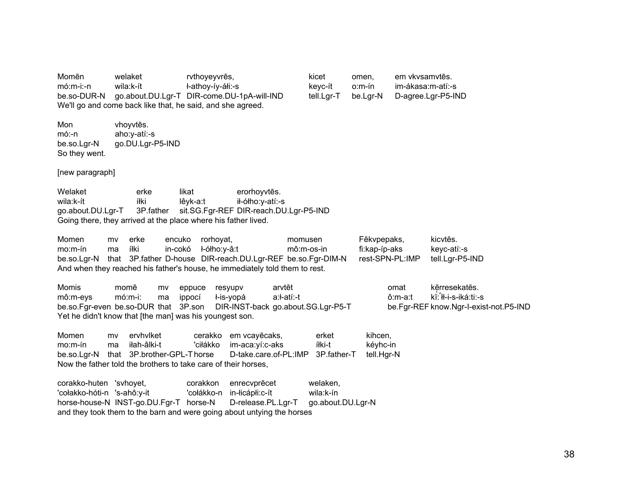Momēn welaket rvthoyeyvrēs, kicet omen, em vkvsamvtēs. mó:m-i:-n wila:k-ít ł-athoy-íy-áłi:-s keyc-ít o:m-ín im-ákasa:m-atí:-s be.so-DUR-N go.about.DU.Lgr-T DIR-come.DU-1pA-will-IND tell.Lgr-T be.Lgr-N D-agree.Lgr-P5-IND We'll go and come back like that, he said, and she agreed.

Mon vhoyvtēs. mó:-n aho:y-atí:-s be.so.Lgr-N go.DU.Lgr-P5-IND So they went.

[new paragraph]

Welaket erke likat erorhoyvtēs. wila:k-ít íłki lêyk-a:t ił-ółho:y-atí:-s go.about.DU.Lgr-T 3P.father sit.SG.Fgr-REF DIR-reach.DU.Lgr-P5-IND Going there, they arrived at the place where his father lived.

Momen mv erke encuko rorhoyat, momusen Fēkvpepaks, kicvtēs. mo:m-ín ma íłki in-cokó ł-ółho:y-â:t mô:m-os-in fi:kap-íp-aks keyc-atí:-s be.so.Lgr-N that 3P.father D-house DIR-reach.DU.Lgr-REF be.so.Fgr-DIM-N rest-SPN-PL:IMP tell.Lgr-P5-IND And when they reached his father's house, he immediately told them to rest.

Momis momē mv eppuce resyupv arvtēt omat kē̯rresekatēs. mô:m-eys mó:m-i: ma ippocí ł-is-yopá a:ł-atí:-t ô:m-a:t kĭ:ⁿłł-i-s-iká:ti:-s be.so.Fgr-even be.so-DUR that 3P.son DIR-INST-back go.about.SG.Lgr-P5-T be.Fgr-REF know.Ngr-I-exist-not.P5-IND Yet he didn't know that [the man] was his youngest son.

Momen mv ervhvlket cerakko em vcayēcaks, erket kihcen, mo:m-ín ma iłah-âlki-t 'ciłákko im-aca:yí:c-aks íłki-t kéyhc-in be.so.Lgr-N that 3P.brother-GPL-T horse D-take.care.of-PL:IMP 3P.father-T tell.Hgr-N Now the father told the brothers to take care of their horses,

corakko-huten 'svhoyet, corakkon enrecvprēcet welaken, 'cołakko-hóti-n 's-ahô:y-it 'cołákko-n in-łicápłi:c-ít wila:k-ín horse-house-N INST-go.DU.Fgr-T horse-N D-release.PL.Lgr-T go.about.DU.Lgr-N and they took them to the barn and were going about untying the horses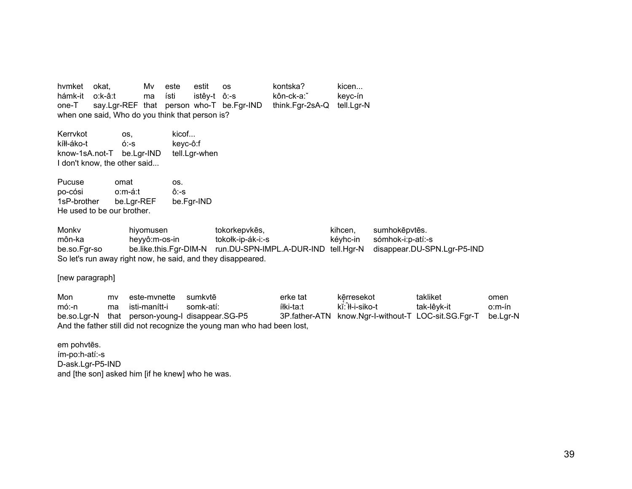hymket okat. Mv este estit kontska? kicen... **OS** hámk-it o:k-â:t kôn-ck-a: keyc-ín ma ísti istêy-t ô:-s  $one-T$ say.Lgr-REF that person who-T be.Fgr-IND think.Fgr-2sA-Q tell.Lgr-N when one said, Who do you think that person is?

Kerrvkot OS. kicof... kíłł-áko-t  $6:-s$ keyc-ô:f know-1sA.not-T be.Lgr-IND tell.Lgr-when I don't know, the other said...

Pucuse omat OS. po-cósi o:m-á:t  $ô:-s$ be.Fgr-IND 1sP-brother be.Lgr-REF He used to be our brother.

Monky hiyomusen tokorkepvkēs, kihcen. sumhokēpvtēs. môn-ka tokołk-ip-ák-i:-s sómhok-i:p-atí:-s heyyô:m-os-in kévhc-in be.so.Fgr-so be.like.this.Fgr-DIM-N run.DU-SPN-IMPL.A-DUR-IND tell.Hgr-N disappear.DU-SPN.Lgr-P5-IND So let's run away right now, he said, and they disappeared.

[new paragraph]

Mon este-mynette sumkvtē erke tat kērresekot takliket omen mv kĭ: H-i-siko-t  $m6:-n$ isti-manítt-i somk-atí: íłki-ta:t tak-lêyk-it  $o.m$ -ín ma 3P.father-ATN know.Ngr-I-without-T LOC-sit.SG.Fgr-T be.so.Lgr-N that person-young-I disappear.SG-P5 be.Lgr-N And the father still did not recognize the young man who had been lost,

em pohvtēs. ím-po:h-atí:-s D-ask.Lgr-P5-IND and [the son] asked him [if he knew] who he was.